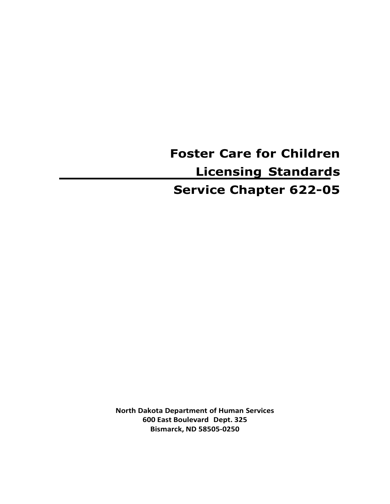**Foster Care for Children Licensing Standards Service Chapter 622-05**

**North Dakota Department of Human Services 600 East Boulevard Dept. 325 Bismarck, ND 58505-0250**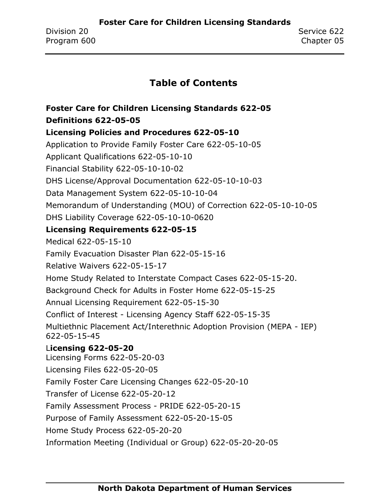## **Table of Contents**

# **[Foster Care for Children Licensing Standards 622-05](#page-4-0) [Definitions 622-05-05](#page-4-1)**

### **[Licensing Policies and Procedures 622-05-10](#page-10-0)**

[Application to Provide Family Foster Care 622-05-10-05](#page-10-1) [Applicant Qualifications 622-05-10-10](#page-11-0) [Financial Stability 622-05-10-10-02](#page-12-0) DHS [License/Approval Documentation 622-05-10-10-03](#page-13-0) [Data Management System 622-05-10-10-04](#page-15-0) Memorandum [of Understanding \(MOU\) of Correction 622-05-10-10-05](#page-17-0) [DHS Liability Coverage 622-05-10-10-0620](#page-19-0) **[Licensing Requirements 622-05-15](#page-22-0)** [Medical 622-05-15-10](#page-22-1) [Family Evacuation Disaster Plan 622-05-15-16](#page-24-0) [Relative Waivers 622-05-15-17](#page-25-0) [Home Study Related to Interstate Compact Cases 622-05-15-20.](#page-27-0) [Background Check for Adults in Foster Home 622-05-15-25](#page-28-0) [Annual Licensing Requirement 622-05-15-30](#page-31-0) Conflict of Interest - [Licensing Agency Staff 622-05-15-35](#page-32-0) [Multiethnic Placement Act/Interethnic Adoption Provision \(MEPA](#page-33-0) - IEP) [622-05-15-45](#page-33-0) L**[icensing 622-05-20](#page-34-0)** [Licensing Forms 622-05-20-03](#page-34-0) [Licensing Files 622-05-20-05](#page-37-0) [Family Foster Care Licensing Changes 622-05-20-10](#page-38-0) [Transfer of License 622-05-20-12](#page-45-0) [Family Assessment Process -](#page-46-0) PRIDE 622-05-20-15 [Purpose of Family Assessment 622-05-20-15-05](#page-47-0)

[Home Study Process 622-05-20-20](#page-48-0)

[Information Meeting \(Individual or Group\) 622-05-20-20-05](#page-49-0)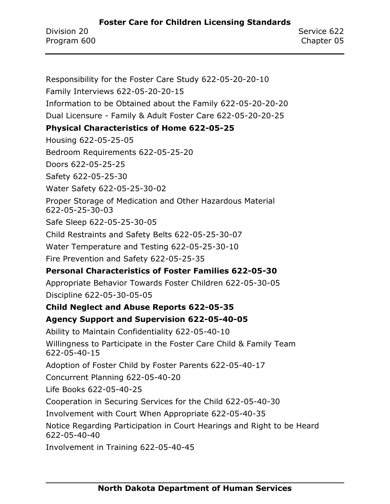[Responsibility for the Foster Care Study 622-05-20-20-10](#page-50-0)

[Family Interviews 622-05-20-20-15](#page-52-0) [Information to be Obtained about the Family 622-05-20-20-20](#page-53-0) Dual Licensure - [Family & Adult Foster Care 622-05-20-20-25](#page-55-0) **[Physical Characteristics of Home 622-05-25](#page-56-0)** [Housing 622-05-25-05](#page-56-1) [Bedroom Requirements 622-05-25-20](#page-58-0) [Doors 622-05-25-25](#page-59-0) [Safety 622-05-25-30](#page-60-0) [Water Safety 622-05-25-30-02](#page-62-0) [Proper Storage of Medication and Other Hazardous Material](#page-63-0)  [622-05-25-30-03](#page-63-0) [Safe Sleep 622-05-25-30-05](#page-64-0) [Child Restraints and Safety Belts 622-05-25-30-07](#page-65-0) [Water Temperature and Testing 622-05-25-30-10](#page-66-0) [Fire Prevention and Safety 622-05-25-35](#page-69-0) **[Personal Characteristics of Foster Families 622-05-30](#page-71-0)** [Appropriate Behavior Towards Foster Children 622-05-30-05](#page-74-0) [Discipline 622-05-30-05-05](#page-74-1) **[Child Neglect and Abuse Reports 622-05-35](#page-75-0) [Agency Support and Supervision 622-05-40-05](#page-76-0)** [Ability to Maintain Confidentiality 622-05-40-10](#page-78-0) [Willingness to Participate in the Foster Care Child & Family Team](#page-79-0)  [622-05-40-15](#page-79-0) [Adoption of Foster Child by Foster Parents 622-05-40-17](#page-80-0) [Concurrent Planning 622-05-40-20](#page-81-0) [Life Books 622-05-40-25](#page-82-0) [Cooperation in Securing Services for the Child 622-05-40-30](#page-83-0) [Involvement with Court When Appropriate 622-05-40-35](#page-84-0) [Notice Regarding Participation in Court Hearings and Right to be Heard](#page-85-0)  [622-05-40-40](#page-85-0) [Involvement in Training 622-05-40-45](#page-86-0)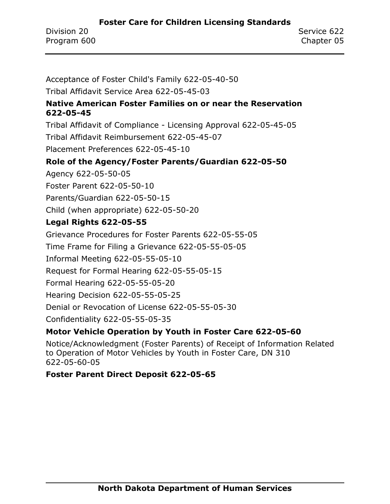[Acceptance of Foster Child's Family 622-05-40-50](#page-90-0)

[Tribal Affidavit Service Area 622-05-45-03](#page-91-0)

### **[Native American Foster Families on or near the Reservation](#page-92-0)  [622-05-45](#page-92-0)**

Tribal Affidavit of Compliance - [Licensing Approval 622-05-45-05](#page-92-1) [Tribal Affidavit Reimbursement 622-05-45-07](#page-95-0)

[Placement Preferences 622-05-45-10](#page-96-0)

### **[Role of the Agency/Foster Parents/Guardian 622-05-50](#page-97-0)**

[Agency 622-05-50-05](#page-98-0)

[Foster Parent 622-05-50-10](#page-100-0)

[Parents/Guardian 622-05-50-15](#page-101-0)

[Child \(when appropriate\) 622-05-50-20](#page-102-0)

### **[Legal Rights 622-05-55](#page-103-0)**

[Grievance Procedures for Foster Parents 622-05-55-05](#page-103-1)

Time Frame for [Filing a Grievance 622-05-55-05-05](#page-104-0)

[Informal Meeting 622-05-55-05-10](#page-105-0)

[Request for Formal Hearing 622-05-55-05-15](#page-107-0)

[Formal Hearing 622-05-55-05-20](#page-108-0)

[Hearing Decision 622-05-55-05-25](#page-109-0)

[Denial or Revocation of License 622-05-55-05-30](#page-110-0)

[Confidentiality 622-05-55-05-35](#page-111-0)

### **[Motor Vehicle Operation by Youth in Foster Care 622-05-60](#page-112-0)**

[Notice/Acknowledgment \(Foster Parents\) of Receipt of Information Related](#page-114-0)  [to Operation of Motor Vehicles by Youth in Foster Care, DN 310](#page-114-0)  [622-05-60-05](#page-114-0)

### **[Foster Parent Direct Deposit 622-05-65](#page-115-0)**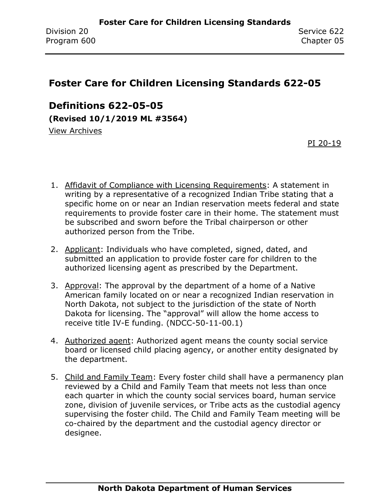## <span id="page-4-0"></span>**Foster Care for Children Licensing Standards 622-05**

<span id="page-4-1"></span>**Definitions 622-05-05**

**(Revised 10/1/2019 ML #3564)**

[View Archives](../../../Content/Archive%20Documents/archive.htm#622_05_05)

[PI 20-19](../../../Content/PI/PI%2020-19%20-%20Foster%20Parent%20Grievance.pdf)

- 1. Affidavit of Compliance with Licensing Requirements: A statement in writing by a representative of a recognized Indian Tribe stating that a specific home on or near an Indian reservation meets federal and state requirements to provide foster care in their home. The statement must be subscribed and sworn before the Tribal chairperson or other authorized person from the Tribe.
- 2. Applicant: Individuals who have completed, signed, dated, and submitted an application to provide foster care for children to the authorized licensing agent as prescribed by the Department.
- 3. Approval: The approval by the department of a home of a Native American family located on or near a recognized Indian reservation in North Dakota, not subject to the jurisdiction of the state of North Dakota for licensing. The "approval" will allow the home access to receive title IV-E funding. (NDCC-50-11-00.1)
- 4. Authorized agent: Authorized agent means the county social service board or licensed child placing agency, or another entity designated by the department.
- 5. Child and Family Team: Every foster child shall have a permanency plan reviewed by a Child and Family Team that meets not less than once each quarter in which the county social services board, human service zone, division of juvenile services, or Tribe acts as the custodial agency supervising the foster child. The Child and Family Team meeting will be co-chaired by the department and the custodial agency director or designee.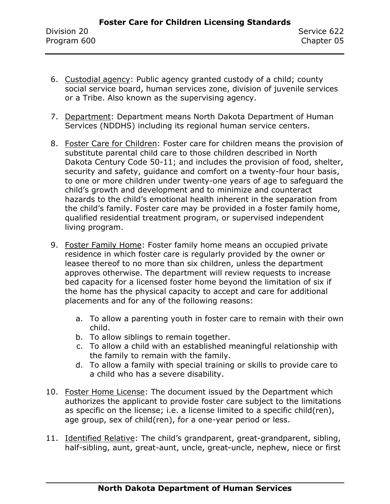- 6. Custodial agency: Public agency granted custody of a child; county social service board, human services zone, division of juvenile services or a Tribe. Also known as the supervising agency.
- 7. Department: Department means North Dakota Department of Human Services (NDDHS) including its regional human service centers.
- 8. Foster Care for Children: Foster care for children means the provision of substitute parental child care to those children described in North Dakota Century Code 50-11; and includes the provision of food, shelter, security and safety, guidance and comfort on a twenty-four hour basis, to one or more children under twenty-one years of age to safeguard the child's growth and development and to minimize and counteract hazards to the child's emotional health inherent in the separation from the child's family. Foster care may be provided in a foster family home, qualified residential treatment program, or supervised independent living program.
- 9. Foster Family Home: Foster family home means an occupied private residence in which foster care is regularly provided by the owner or leasee thereof to no more than six children, unless the department approves otherwise. The department will review requests to increase bed capacity for a licensed foster home beyond the limitation of six if the home has the physical capacity to accept and care for additional placements and for any of the following reasons:
	- a. To allow a parenting youth in foster care to remain with their own child.
	- b. To allow siblings to remain together.
	- c. To allow a child with an established meaningful relationship with the family to remain with the family.
	- d. To allow a family with special training or skills to provide care to a child who has a severe disability.
- 10. Foster Home License: The document issued by the Department which authorizes the applicant to provide foster care subject to the limitations as specific on the license; i.e. a license limited to a specific child(ren), age group, sex of child(ren), for a one-year period or less.
- 11. Identified Relative: The child's grandparent, great-grandparent, sibling, half-sibling, aunt, great-aunt, uncle, great-uncle, nephew, niece or first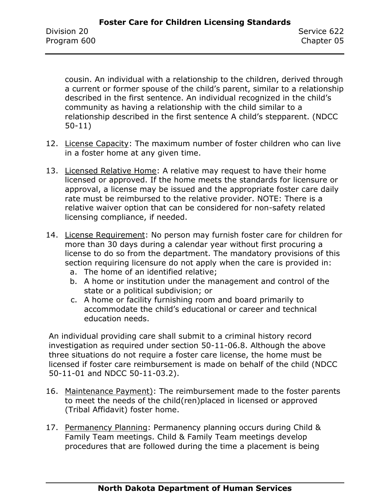cousin. An individual with a relationship to the children, derived through a current or former spouse of the child's parent, similar to a relationship described in the first sentence. An individual recognized in the child's community as having a relationship with the child similar to a relationship described in the first sentence A child's stepparent. (NDCC 50-11)

- 12. License Capacity: The maximum number of foster children who can live in a foster home at any given time.
- 13. Licensed Relative Home: A relative may request to have their home licensed or approved. If the home meets the standards for licensure or approval, a license may be issued and the appropriate foster care daily rate must be reimbursed to the relative provider. NOTE: There is a relative waiver option that can be considered for non-safety related licensing compliance, if needed.
- 14. License Requirement: No person may furnish foster care for children for more than 30 days during a calendar year without first procuring a license to do so from the department. The mandatory provisions of this section requiring licensure do not apply when the care is provided in:
	- a. The home of an identified relative;
	- b. A home or institution under the management and control of the state or a political subdivision; or
	- c. A home or facility furnishing room and board primarily to accommodate the child's educational or career and technical education needs.

An individual providing care shall submit to a criminal history record investigation as required under section 50-11-06.8. Although the above three situations do not require a foster care license, the home must be licensed if foster care reimbursement is made on behalf of the child (NDCC 50-11-01 and NDCC 50-11-03.2).

- 16. Maintenance Payment): The reimbursement made to the foster parents to meet the needs of the child(ren)placed in licensed or approved (Tribal Affidavit) foster home.
- 17. Permanency Planning: Permanency planning occurs during Child & Family Team meetings. Child & Family Team meetings develop procedures that are followed during the time a placement is being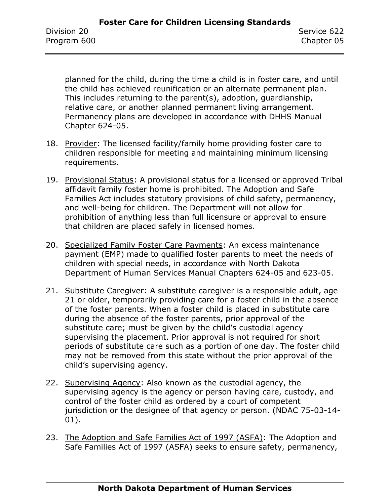planned for the child, during the time a child is in foster care, and until the child has achieved reunification or an alternate permanent plan. This includes returning to the parent(s), adoption, guardianship, relative care, or another planned permanent living arrangement. Permanency plans are developed in accordance with DHHS Manual Chapter 624-05.

- 18. Provider: The licensed facility/family home providing foster care to children responsible for meeting and maintaining minimum licensing requirements.
- 19. Provisional Status: A provisional status for a licensed or approved Tribal affidavit family foster home is prohibited. The Adoption and Safe Families Act includes statutory provisions of child safety, permanency, and well-being for children. The Department will not allow for prohibition of anything less than full licensure or approval to ensure that children are placed safely in licensed homes.
- 20. Specialized Family Foster Care Payments: An excess maintenance payment (EMP) made to qualified foster parents to meet the needs of children with special needs, in accordance with North Dakota Department of Human Services Manual Chapters 624-05 and 623-05.
- 21. Substitute Caregiver: A substitute caregiver is a responsible adult, age 21 or older, temporarily providing care for a foster child in the absence of the foster parents. When a foster child is placed in substitute care during the absence of the foster parents, prior approval of the substitute care; must be given by the child's custodial agency supervising the placement. Prior approval is not required for short periods of substitute care such as a portion of one day. The foster child may not be removed from this state without the prior approval of the child's supervising agency.
- 22. Supervising Agency: Also known as the custodial agency, the supervising agency is the agency or person having care, custody, and control of the foster child as ordered by a court of competent jurisdiction or the designee of that agency or person. (NDAC 75-03-14- 01).
- 23. The Adoption and Safe Families Act of 1997 (ASFA): The Adoption and Safe Families Act of 1997 (ASFA) seeks to ensure safety, permanency,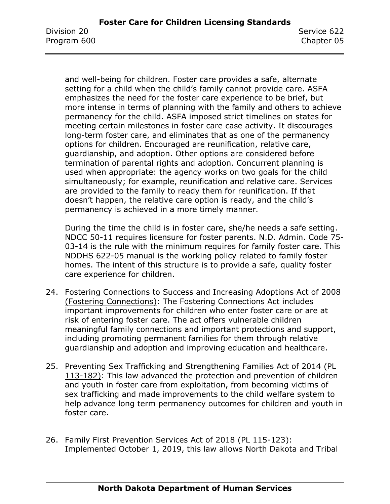and well-being for children. Foster care provides a safe, alternate setting for a child when the child's family cannot provide care. ASFA emphasizes the need for the foster care experience to be brief, but more intense in terms of planning with the family and others to achieve permanency for the child. ASFA imposed strict timelines on states for meeting certain milestones in foster care case activity. It discourages long-term foster care, and eliminates that as one of the permanency options for children. Encouraged are reunification, relative care, guardianship, and adoption. Other options are considered before termination of parental rights and adoption. Concurrent planning is used when appropriate: the agency works on two goals for the child simultaneously; for example, reunification and relative care. Services are provided to the family to ready them for reunification. If that doesn't happen, the relative care option is ready, and the child's permanency is achieved in a more timely manner.

During the time the child is in foster care, she/he needs a safe setting. NDCC 50-11 requires licensure for foster parents. N.D. Admin. Code 75- 03-14 is the rule with the minimum requires for family foster care. This NDDHS 622-05 manual is the working policy related to family foster homes. The intent of this structure is to provide a safe, quality foster care experience for children.

- 24. Fostering Connections to Success and Increasing Adoptions Act of 2008 (Fostering Connections): The Fostering Connections Act includes important improvements for children who enter foster care or are at risk of entering foster care. The act offers vulnerable children meaningful family connections and important protections and support, including promoting permanent families for them through relative guardianship and adoption and improving education and healthcare.
- 25. Preventing Sex Trafficking and Strengthening Families Act of 2014 (PL 113-182): This law advanced the protection and prevention of children and youth in foster care from exploitation, from becoming victims of sex trafficking and made improvements to the child welfare system to help advance long term permanency outcomes for children and youth in foster care.
- 26. Family First Prevention Services Act of 2018 (PL 115-123): Implemented October 1, 2019, this law allows North Dakota and Tribal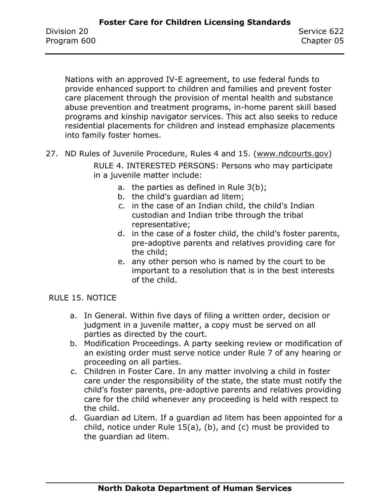Nations with an approved IV-E agreement, to use federal funds to provide enhanced support to children and families and prevent foster care placement through the provision of mental health and substance abuse prevention and treatment programs, in-home parent skill based programs and kinship navigator services. This act also seeks to reduce residential placements for children and instead emphasize placements into family foster homes.

27. ND Rules of Juvenile Procedure, Rules 4 and 15. [\(www.ndcourts.gov\)](https://www.ndcourts.gov/)

RULE 4. INTERESTED PERSONS: Persons who may participate in a juvenile matter include:

- a. the parties as defined in Rule 3(b);
- b. the child's guardian ad litem;
- c. in the case of an Indian child, the child's Indian custodian and Indian tribe through the tribal representative;
- d. in the case of a foster child, the child's foster parents, pre-adoptive parents and relatives providing care for the child;
- e. any other person who is named by the court to be important to a resolution that is in the best interests of the child.

### RULE 15. NOTICE

- a. In General. Within five days of filing a written order, decision or judgment in a juvenile matter, a copy must be served on all parties as directed by the court.
- b. Modification Proceedings. A party seeking review or modification of an existing order must serve notice under Rule 7 of any hearing or proceeding on all parties.
- c. Children in Foster Care. In any matter involving a child in foster care under the responsibility of the state, the state must notify the child's foster parents, pre-adoptive parents and relatives providing care for the child whenever any proceeding is held with respect to the child.
- d. Guardian ad Litem. If a guardian ad litem has been appointed for a child, notice under Rule 15(a), (b), and (c) must be provided to the guardian ad litem.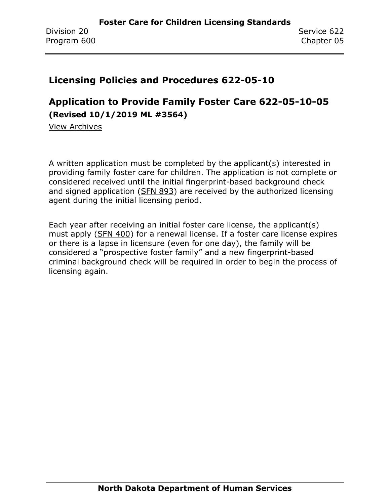### <span id="page-10-0"></span>**Licensing Policies and Procedures 622-05-10**

# <span id="page-10-1"></span>**Application to Provide Family Foster Care 622-05-10-05 (Revised 10/1/2019 ML #3564)**

[View Archives](../../../Content/Archive%20Documents/archive.htm#625_05_10_05)

A written application must be completed by the applicant(s) interested in providing family foster care for children. The application is not complete or considered received until the initial fingerprint-based background check and signed application [\(SFN 893\)](https://www.nd.gov/eforms/Doc/sfn00893.pdf) are received by the authorized licensing agent during the initial licensing period.

Each year after receiving an initial foster care license, the applicant(s) must apply [\(SFN 400\)](https://www.nd.gov/eforms/Doc/sfn00400.pdf) for a renewal license. If a foster care license expires or there is a lapse in licensure (even for one day), the family will be considered a "prospective foster family" and a new fingerprint-based criminal background check will be required in order to begin the process of licensing again.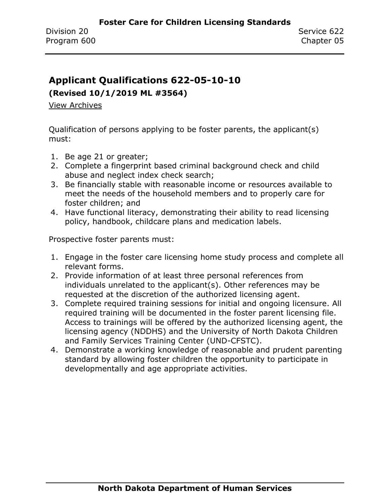### <span id="page-11-0"></span>**Applicant Qualifications 622-05-10-10**

### **(Revised 10/1/2019 ML #3564)**

[View Archives](../../../Content/Archive%20Documents/archive.htm#625_05_10_10)

Qualification of persons applying to be foster parents, the applicant(s) must:

- 1. Be age 21 or greater;
- 2. Complete a fingerprint based criminal background check and child abuse and neglect index check search;
- 3. Be financially stable with reasonable income or resources available to meet the needs of the household members and to properly care for foster children; and
- 4. Have functional literacy, demonstrating their ability to read licensing policy, handbook, childcare plans and medication labels.

Prospective foster parents must:

- 1. Engage in the foster care licensing home study process and complete all relevant forms.
- 2. Provide information of at least three personal references from individuals unrelated to the applicant(s). Other references may be requested at the discretion of the authorized licensing agent.
- 3. Complete required training sessions for initial and ongoing licensure. All required training will be documented in the foster parent licensing file. Access to trainings will be offered by the authorized licensing agent, the licensing agency (NDDHS) and the University of North Dakota Children and Family Services Training Center (UND-CFSTC).
- 4. Demonstrate a working knowledge of reasonable and prudent parenting standard by allowing foster children the opportunity to participate in developmentally and age appropriate activities.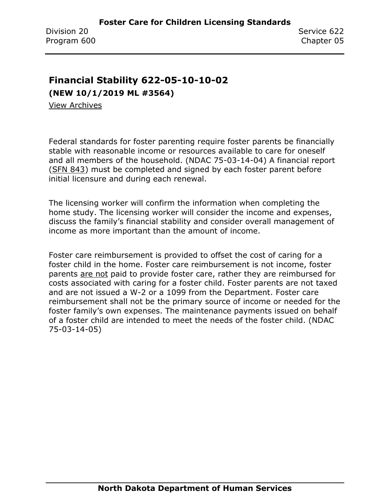# <span id="page-12-0"></span>**Financial Stability 622-05-10-10-02**

**(NEW 10/1/2019 ML #3564)**

[View Archives](../../../Content/Archive%20Documents/archive.htm#622_05_10_10_02)

Federal standards for foster parenting require foster parents be financially stable with reasonable income or resources available to care for oneself and all members of the household. (NDAC 75-03-14-04) A financial report [\(SFN 843\)](https://www.nd.gov/eforms/Doc/sfn00843.pdf) must be completed and signed by each foster parent before initial licensure and during each renewal.

The licensing worker will confirm the information when completing the home study. The licensing worker will consider the income and expenses, discuss the family's financial stability and consider overall management of income as more important than the amount of income.

Foster care reimbursement is provided to offset the cost of caring for a foster child in the home. Foster care reimbursement is not income, foster parents are not paid to provide foster care, rather they are reimbursed for costs associated with caring for a foster child. Foster parents are not taxed and are not issued a W-2 or a 1099 from the Department. Foster care reimbursement shall not be the primary source of income or needed for the foster family's own expenses. The maintenance payments issued on behalf of a foster child are intended to meet the needs of the foster child. (NDAC 75-03-14-05)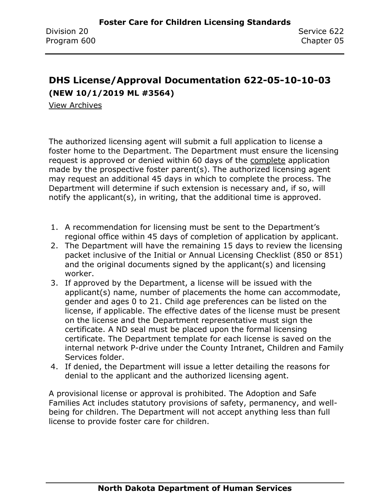# <span id="page-13-0"></span>**DHS License/Approval Documentation 622-05-10-10-03 (NEW 10/1/2019 ML #3564)**

[View Archives](../../../Content/Archive%20Documents/archive.htm#622_05_10_10_03)

The authorized licensing agent will submit a full application to license a foster home to the Department. The Department must ensure the licensing request is approved or denied within 60 days of the complete application made by the prospective foster parent(s). The authorized licensing agent may request an additional 45 days in which to complete the process. The Department will determine if such extension is necessary and, if so, will notify the applicant(s), in writing, that the additional time is approved.

- 1. A recommendation for licensing must be sent to the Department's regional office within 45 days of completion of application by applicant.
- 2. The Department will have the remaining 15 days to review the licensing packet inclusive of the Initial or Annual Licensing Checklist (850 or 851) and the original documents signed by the applicant(s) and licensing worker.
- 3. If approved by the Department, a license will be issued with the applicant(s) name, number of placements the home can accommodate, gender and ages 0 to 21. Child age preferences can be listed on the license, if applicable. The effective dates of the license must be present on the license and the Department representative must sign the certificate. A ND seal must be placed upon the formal licensing certificate. The Department template for each license is saved on the internal network P-drive under the County Intranet, Children and Family Services folder.
- 4. If denied, the Department will issue a letter detailing the reasons for denial to the applicant and the authorized licensing agent.

A provisional license or approval is prohibited. The Adoption and Safe Families Act includes statutory provisions of safety, permanency, and wellbeing for children. The Department will not accept anything less than full license to provide foster care for children.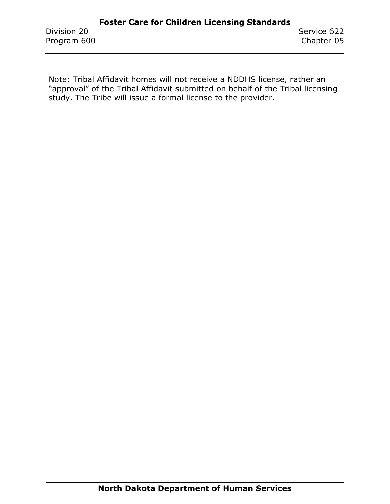Note: Tribal Affidavit homes will not receive a NDDHS license, rather an "approval" of the Tribal Affidavit submitted on behalf of the Tribal licensing study. The Tribe will issue a formal license to the provider.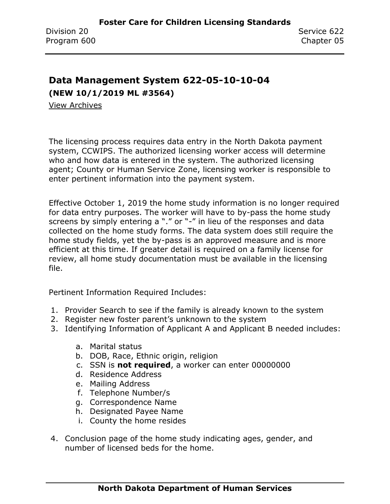# <span id="page-15-0"></span>**Data Management System 622-05-10-10-04**

**(NEW 10/1/2019 ML #3564)**

[View Archives](../../../Content/Archive%20Documents/archive.htm#622_05_10_10_04)

The licensing process requires data entry in the North Dakota payment system, CCWIPS. The authorized licensing worker access will determine who and how data is entered in the system. The authorized licensing agent; County or Human Service Zone, licensing worker is responsible to enter pertinent information into the payment system.

Effective October 1, 2019 the home study information is no longer required for data entry purposes. The worker will have to by-pass the home study screens by simply entering a "." or "-" in lieu of the responses and data collected on the home study forms. The data system does still require the home study fields, yet the by-pass is an approved measure and is more efficient at this time. If greater detail is required on a family license for review, all home study documentation must be available in the licensing file.

Pertinent Information Required Includes:

- 1. Provider Search to see if the family is already known to the system
- 2. Register new foster parent's unknown to the system
- 3. Identifying Information of Applicant A and Applicant B needed includes:
	- a. Marital status
	- b. DOB, Race, Ethnic origin, religion
	- c. SSN is **not required**, a worker can enter 00000000
	- d. Residence Address
	- e. Mailing Address
	- f. Telephone Number/s
	- g. Correspondence Name
	- h. Designated Payee Name
	- i. County the home resides
- 4. Conclusion page of the home study indicating ages, gender, and number of licensed beds for the home.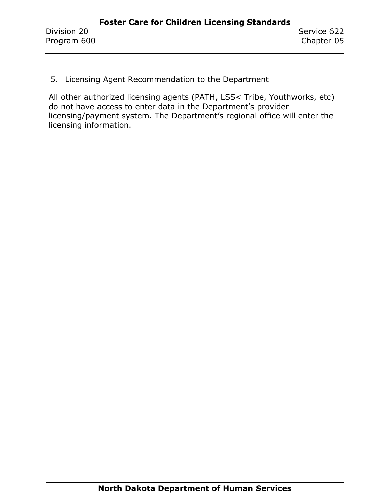5. Licensing Agent Recommendation to the Department

All other authorized licensing agents (PATH, LSS< Tribe, Youthworks, etc) do not have access to enter data in the Department's provider licensing/payment system. The Department's regional office will enter the licensing information.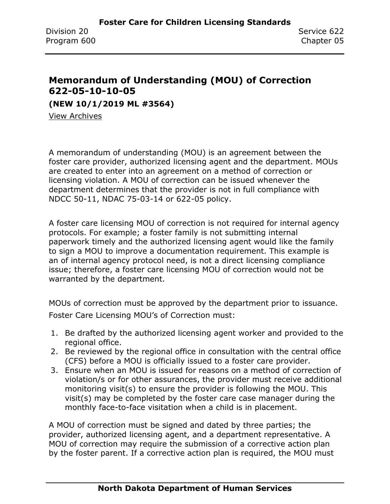## <span id="page-17-0"></span>**Memorandum of Understanding (MOU) of Correction 622-05-10-10-05**

**(NEW 10/1/2019 ML #3564)**

[View Archives](../../../Content/Archive%20Documents/archive.htm#622_05_10_10_05)

A memorandum of understanding (MOU) is an agreement between the foster care provider, authorized licensing agent and the department. MOUs are created to enter into an agreement on a method of correction or licensing violation. A MOU of correction can be issued whenever the department determines that the provider is not in full compliance with NDCC 50-11, NDAC 75-03-14 or 622-05 policy.

A foster care licensing MOU of correction is not required for internal agency protocols. For example; a foster family is not submitting internal paperwork timely and the authorized licensing agent would like the family to sign a MOU to improve a documentation requirement. This example is an of internal agency protocol need, is not a direct licensing compliance issue; therefore, a foster care licensing MOU of correction would not be warranted by the department.

MOUs of correction must be approved by the department prior to issuance. Foster Care Licensing MOU's of Correction must:

- 1. Be drafted by the authorized licensing agent worker and provided to the regional office.
- 2. Be reviewed by the regional office in consultation with the central office (CFS) before a MOU is officially issued to a foster care provider.
- 3. Ensure when an MOU is issued for reasons on a method of correction of violation/s or for other assurances, the provider must receive additional monitoring visit(s) to ensure the provider is following the MOU. This visit(s) may be completed by the foster care case manager during the monthly face-to-face visitation when a child is in placement.

A MOU of correction must be signed and dated by three parties; the provider, authorized licensing agent, and a department representative. A MOU of correction may require the submission of a corrective action plan by the foster parent. If a corrective action plan is required, the MOU must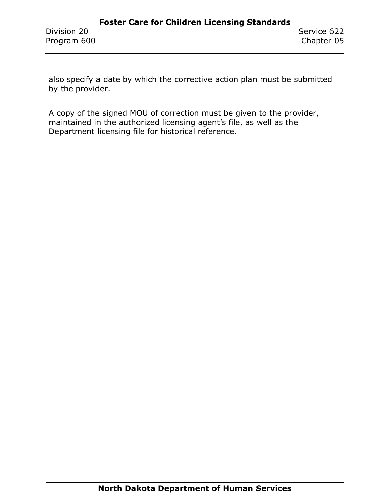also specify a date by which the corrective action plan must be submitted by the provider.

A copy of the signed MOU of correction must be given to the provider, maintained in the authorized licensing agent's file, as well as the Department licensing file for historical reference.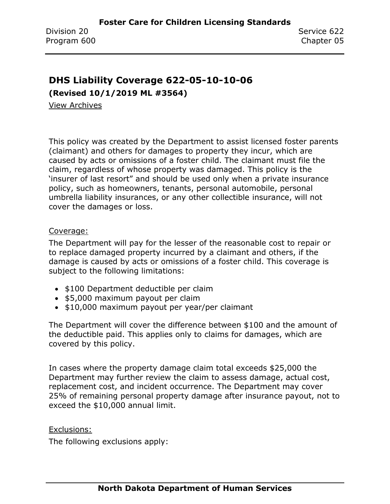### <span id="page-19-0"></span>**DHS Liability Coverage 622-05-10-10-06**

**(Revised 10/1/2019 ML #3564)**

[View Archives](../../../Content/Archive%20Documents/archive.htm#622_05_10_10_06)

This policy was created by the Department to assist licensed foster parents (claimant) and others for damages to property they incur, which are caused by acts or omissions of a foster child. The claimant must file the claim, regardless of whose property was damaged. This policy is the 'insurer of last resort" and should be used only when a private insurance policy, such as homeowners, tenants, personal automobile, personal umbrella liability insurances, or any other collectible insurance, will not cover the damages or loss.

#### Coverage:

The Department will pay for the lesser of the reasonable cost to repair or to replace damaged property incurred by a claimant and others, if the damage is caused by acts or omissions of a foster child. This coverage is subject to the following limitations:

- \$100 Department deductible per claim
- \$5,000 maximum payout per claim
- \$10,000 maximum payout per year/per claimant

The Department will cover the difference between \$100 and the amount of the deductible paid. This applies only to claims for damages, which are covered by this policy.

In cases where the property damage claim total exceeds \$25,000 the Department may further review the claim to assess damage, actual cost, replacement cost, and incident occurrence. The Department may cover 25% of remaining personal property damage after insurance payout, not to exceed the \$10,000 annual limit.

Exclusions:

The following exclusions apply: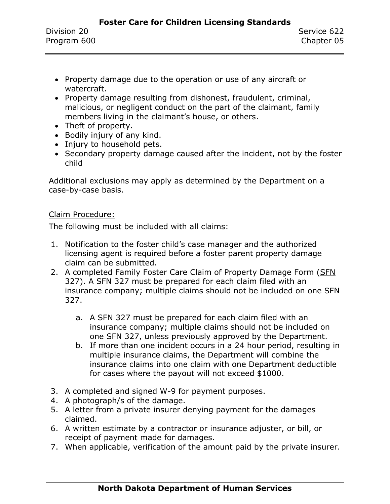- Property damage due to the operation or use of any aircraft or watercraft.
- Property damage resulting from dishonest, fraudulent, criminal, malicious, or negligent conduct on the part of the claimant, family members living in the claimant's house, or others.
- Theft of property.
- Bodily injury of any kind.
- Injury to household pets.
- Secondary property damage caused after the incident, not by the foster child

Additional exclusions may apply as determined by the Department on a case-by-case basis.

#### Claim Procedure:

The following must be included with all claims:

- 1. Notification to the foster child's case manager and the authorized licensing agent is required before a foster parent property damage claim can be submitted.
- 2. A completed Family Foster Care Claim of Property Damage Form (SFN [327\)](https://www.nd.gov/eforms/Doc/sfn00327.pdf). A SFN 327 must be prepared for each claim filed with an insurance company; multiple claims should not be included on one SFN 327.
	- a. A SFN 327 must be prepared for each claim filed with an insurance company; multiple claims should not be included on one SFN 327, unless previously approved by the Department.
	- b. If more than one incident occurs in a 24 hour period, resulting in multiple insurance claims, the Department will combine the insurance claims into one claim with one Department deductible for cases where the payout will not exceed \$1000.
- 3. A completed and signed W-9 for payment purposes.
- 4. A photograph/s of the damage.
- 5. A letter from a private insurer denying payment for the damages claimed.
- 6. A written estimate by a contractor or insurance adjuster, or bill, or receipt of payment made for damages.
- 7. When applicable, verification of the amount paid by the private insurer.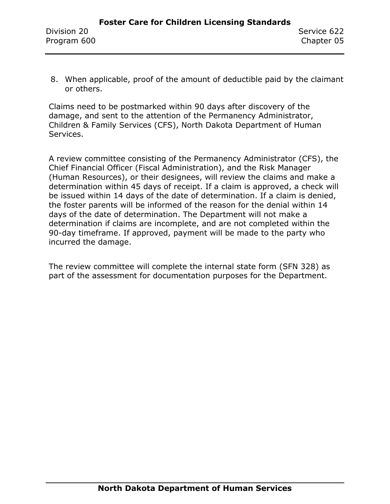8. When applicable, proof of the amount of deductible paid by the claimant or others.

Claims need to be postmarked within 90 days after discovery of the damage, and sent to the attention of the Permanency Administrator, Children & Family Services (CFS), North Dakota Department of Human Services.

A review committee consisting of the Permanency Administrator (CFS), the Chief Financial Officer (Fiscal Administration), and the Risk Manager (Human Resources), or their designees, will review the claims and make a determination within 45 days of receipt. If a claim is approved, a check will be issued within 14 days of the date of determination. If a claim is denied, the foster parents will be informed of the reason for the denial within 14 days of the date of determination. The Department will not make a determination if claims are incomplete, and are not completed within the 90-day timeframe. If approved, payment will be made to the party who incurred the damage.

The review committee will complete the internal state form (SFN 328) as part of the assessment for documentation purposes for the Department.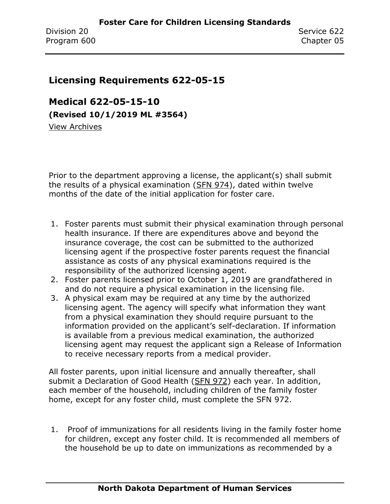### <span id="page-22-0"></span>**Licensing Requirements 622-05-15**

<span id="page-22-1"></span>**Medical 622-05-15-10 (Revised 10/1/2019 ML #3564)** [View Archives](../../../Content/Archive%20Documents/archive.htm#622_05_15_10)

Prior to the department approving a license, the applicant(s) shall submit the results of a physical examination [\(SFN 974\)](https://www.nd.gov/eforms/Doc/sfn00974.pdf), dated within twelve months of the date of the initial application for foster care.

- 1. Foster parents must submit their physical examination through personal health insurance. If there are expenditures above and beyond the insurance coverage, the cost can be submitted to the authorized licensing agent if the prospective foster parents request the financial assistance as costs of any physical examinations required is the responsibility of the authorized licensing agent.
- 2. Foster parents licensed prior to October 1, 2019 are grandfathered in and do not require a physical examination in the licensing file.
- 3. A physical exam may be required at any time by the authorized licensing agent. The agency will specify what information they want from a physical examination they should require pursuant to the information provided on the applicant's self-declaration. If information is available from a previous medical examination, the authorized licensing agent may request the applicant sign a Release of Information to receive necessary reports from a medical provider.

All foster parents, upon initial licensure and annually thereafter, shall submit a Declaration of Good Health [\(SFN 972\)](https://www.nd.gov/eforms/Doc/sfn00972.pdf) each year. In addition, each member of the household, including children of the family foster home, except for any foster child, must complete the SFN 972.

1. Proof of immunizations for all residents living in the family foster home for children, except any foster child. It is recommended all members of the household be up to date on immunizations as recommended by a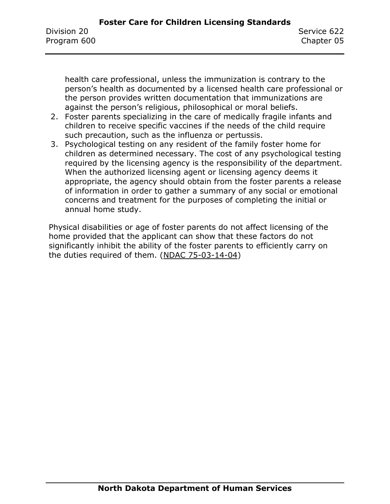health care professional, unless the immunization is contrary to the person's health as documented by a licensed health care professional or the person provides written documentation that immunizations are against the person's religious, philosophical or moral beliefs.

- 2. Foster parents specializing in the care of medically fragile infants and children to receive specific vaccines if the needs of the child require such precaution, such as the influenza or pertussis.
- 3. Psychological testing on any resident of the family foster home for children as determined necessary. The cost of any psychological testing required by the licensing agency is the responsibility of the department. When the authorized licensing agent or licensing agency deems it appropriate, the agency should obtain from the foster parents a release of information in order to gather a summary of any social or emotional concerns and treatment for the purposes of completing the initial or annual home study.

Physical disabilities or age of foster parents do not affect licensing of the home provided that the applicant can show that these factors do not significantly inhibit the ability of the foster parents to efficiently carry on the duties required of them. (NDAC 75-03-14-04)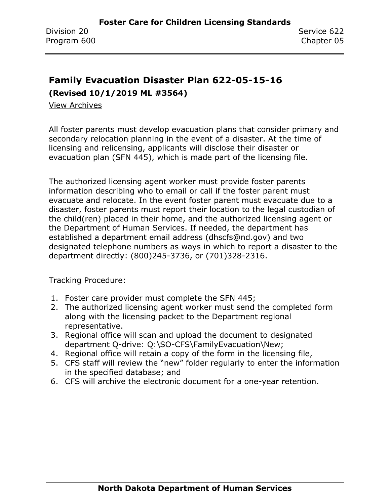# <span id="page-24-0"></span>**Family Evacuation Disaster Plan 622-05-15-16**

**(Revised 10/1/2019 ML #3564)**

[View Archives](../../../Content/Archive%20Documents/archive.htm#622_05_15_15)

All foster parents must develop evacuation plans that consider primary and secondary relocation planning in the event of a disaster. At the time of licensing and relicensing, applicants will disclose their disaster or evacuation plan [\(SFN 445\)](https://www.nd.gov/eforms/Doc/sfn00445.pdf), which is made part of the licensing file.

The authorized licensing agent worker must provide foster parents information describing who to email or call if the foster parent must evacuate and relocate. In the event foster parent must evacuate due to a disaster, foster parents must report their location to the legal custodian of the child(ren) placed in their home, and the authorized licensing agent or the Department of Human Services. If needed, the department has established a department email address (dhscfs@nd.gov) and two designated telephone numbers as ways in which to report a disaster to the department directly: (800)245-3736, or (701)328-2316.

Tracking Procedure:

- 1. Foster care provider must complete the SFN 445;
- 2. The authorized licensing agent worker must send the completed form along with the licensing packet to the Department regional representative.
- 3. Regional office will scan and upload the document to designated department Q-drive: Q:\SO-CFS\FamilyEvacuation\New;
- 4. Regional office will retain a copy of the form in the licensing file,
- 5. CFS staff will review the "new" folder regularly to enter the information in the specified database; and
- 6. CFS will archive the electronic document for a one-year retention.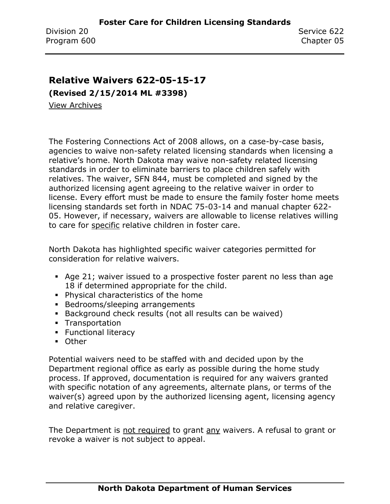### <span id="page-25-0"></span>**Relative Waivers 622-05-15-17**

**(Revised 2/15/2014 ML #3398)**

[View Archives](../../../Content/Archive%20Documents/archive.htm#622_05_15_17)

The Fostering Connections Act of 2008 allows, on a case-by-case basis, agencies to waive non-safety related licensing standards when licensing a relative's home. North Dakota may waive non-safety related licensing standards in order to eliminate barriers to place children safely with relatives. The waiver, SFN 844, must be completed and signed by the authorized licensing agent agreeing to the relative waiver in order to license. Every effort must be made to ensure the family foster home meets licensing standards set forth in NDAC 75-03-14 and manual chapter 622- 05. However, if necessary, waivers are allowable to license relatives willing to care for specific relative children in foster care.

North Dakota has highlighted specific waiver categories permitted for consideration for relative waivers.

- Age 21; waiver issued to a prospective foster parent no less than age 18 if determined appropriate for the child.
- Physical characteristics of the home
- Bedrooms/sleeping arrangements
- Background check results (not all results can be waived)
- **•** Transportation
- **E** Functional literacy
- Other

Potential waivers need to be staffed with and decided upon by the Department regional office as early as possible during the home study process. If approved, documentation is required for any waivers granted with specific notation of any agreements, alternate plans, or terms of the waiver(s) agreed upon by the authorized licensing agent, licensing agency and relative caregiver.

The Department is not required to grant any waivers. A refusal to grant or revoke a waiver is not subject to appeal.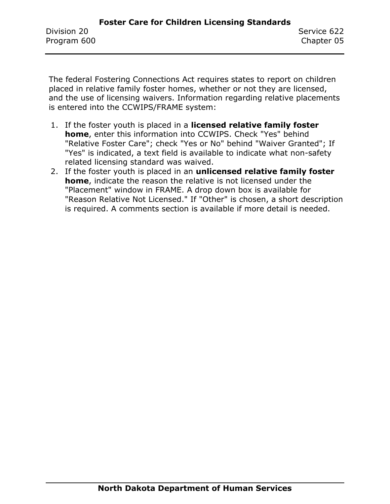The federal Fostering Connections Act requires states to report on children placed in relative family foster homes, whether or not they are licensed, and the use of licensing waivers. Information regarding relative placements is entered into the CCWIPS/FRAME system:

- 1. If the foster youth is placed in a **licensed relative family foster home**, enter this information into CCWIPS. Check "Yes" behind "Relative Foster Care"; check "Yes or No" behind "Waiver Granted"; If "Yes" is indicated, a text field is available to indicate what non-safety related licensing standard was waived.
- 2. If the foster youth is placed in an **unlicensed relative family foster home**, indicate the reason the relative is not licensed under the "Placement" window in FRAME. A drop down box is available for "Reason Relative Not Licensed." If "Other" is chosen, a short description is required. A comments section is available if more detail is needed.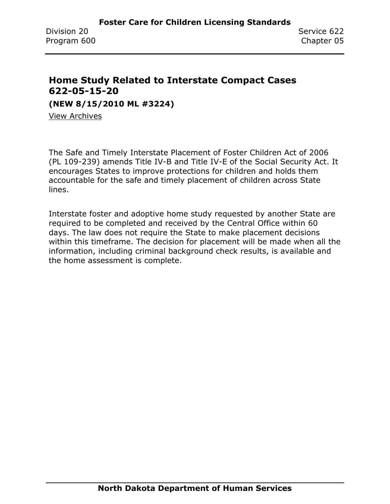## <span id="page-27-0"></span>**Home Study Related to Interstate Compact Cases 622-05-15-20**

**(NEW 8/15/2010 ML #3224)**

[View Archives](../../../Content/Archive%20Documents/archive.htm#622_05_15_20)

The Safe and Timely Interstate Placement of Foster Children Act of 2006 (PL 109-239) amends Title IV-B and Title IV-E of the Social Security Act. It encourages States to improve protections for children and holds them accountable for the safe and timely placement of children across State lines.

Interstate foster and adoptive home study requested by another State are required to be completed and received by the Central Office within 60 days. The law does not require the State to make placement decisions within this timeframe. The decision for placement will be made when all the information, including criminal background check results, is available and the home assessment is complete.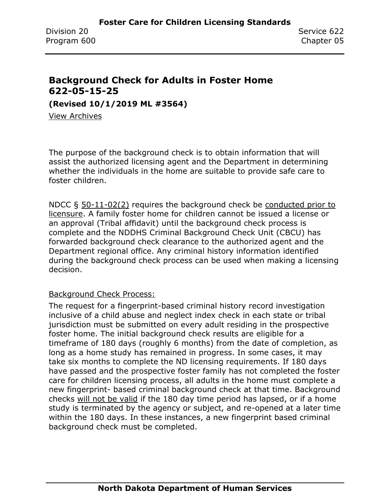### <span id="page-28-0"></span>**Background Check for Adults in Foster Home 622-05-15-25**

**(Revised 10/1/2019 ML #3564)**

[View Archives](../../../Content/Archive%20Documents/archive.htm#622_05_15_25)

The purpose of the background check is to obtain information that will assist the authorized licensing agent and the Department in determining whether the individuals in the home are suitable to provide safe care to foster children.

NDCC § 50-11-02(2) requires the background check be conducted prior to licensure. A family foster home for children cannot be issued a license or an approval (Tribal affidavit) until the background check process is complete and the NDDHS Criminal Background Check Unit (CBCU) has forwarded background check clearance to the authorized agent and the Department regional office. Any criminal history information identified during the background check process can be used when making a licensing decision.

### Background Check Process:

The request for a fingerprint-based criminal history record investigation inclusive of a child abuse and neglect index check in each state or tribal jurisdiction must be submitted on every adult residing in the prospective foster home. The initial background check results are eligible for a timeframe of 180 days (roughly 6 months) from the date of completion, as long as a home study has remained in progress. In some cases, it may take six months to complete the ND licensing requirements. If 180 days have passed and the prospective foster family has not completed the foster care for children licensing process, all adults in the home must complete a new fingerprint- based criminal background check at that time. Background checks will not be valid if the 180 day time period has lapsed, or if a home study is terminated by the agency or subject, and re-opened at a later time within the 180 days. In these instances, a new fingerprint based criminal background check must be completed.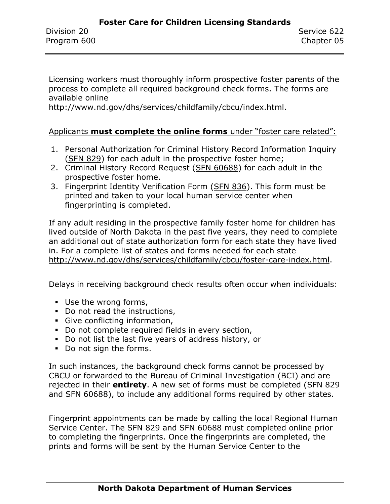Licensing workers must thoroughly inform prospective foster parents of the process to complete all required background check forms. The forms are available online

[http://www.nd.gov/dhs/services/childfamily/cbcu/index.html.](http://www.nd.gov/dhs/services/childfamily/cbcu/index.html)

#### Applicants **must complete the online forms** under "foster care related":

- 1. Personal Authorization for Criminal History Record Information Inquiry [\(SFN 829\)](https://www.nd.gov/eforms/Doc/sfn00829.pdf) for each adult in the prospective foster home;
- 2. Criminal History Record Request [\(SFN 60688\)](http://www.nd.gov/dhs/services/childfamily/cbcu/docs/criminal-history-record-guardianship-sfn60688.pdf) for each adult in the prospective foster home.
- 3. Fingerprint Identity Verification Form [\(SFN 836\)](https://www.nd.gov/eforms/Doc/sfn00836.pdf). This form must be printed and taken to your local human service center when fingerprinting is completed.

If any adult residing in the prospective family foster home for children has lived outside of North Dakota in the past five years, they need to complete an additional out of state authorization form for each state they have lived in. For a complete list of states and forms needed for each state [http://www.nd.gov/dhs/services/childfamily/cbcu/foster-care-index.html.](http://www.nd.gov/dhs/services/childfamily/cbcu/foster-care-index.html)

Delays in receiving background check results often occur when individuals:

- Use the wrong forms,
- Do not read the instructions,
- **•** Give conflicting information,
- Do not complete required fields in every section,
- Do not list the last five years of address history, or
- Do not sign the forms.

In such instances, the background check forms cannot be processed by CBCU or forwarded to the Bureau of Criminal Investigation (BCI) and are rejected in their **entirety**. A new set of forms must be completed (SFN 829 and SFN 60688), to include any additional forms required by other states.

Fingerprint appointments can be made by calling the local Regional Human Service Center. The SFN 829 and SFN 60688 must completed online prior to completing the fingerprints. Once the fingerprints are completed, the prints and forms will be sent by the Human Service Center to the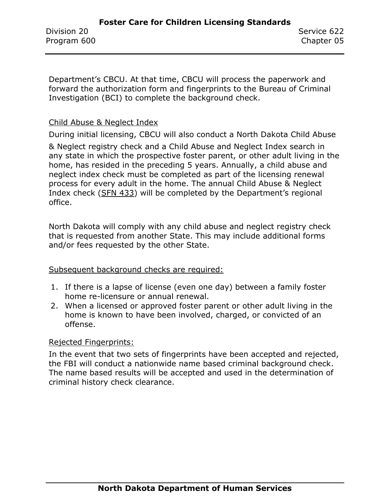Department's CBCU. At that time, CBCU will process the paperwork and forward the authorization form and fingerprints to the Bureau of Criminal Investigation (BCI) to complete the background check.

#### Child Abuse & Neglect Index

During initial licensing, CBCU will also conduct a North Dakota Child Abuse

& Neglect registry check and a Child Abuse and Neglect Index search in any state in which the prospective foster parent, or other adult living in the home, has resided in the preceding 5 years. Annually, a child abuse and neglect index check must be completed as part of the licensing renewal process for every adult in the home. The annual Child Abuse & Neglect Index check [\(SFN 433](https://www.nd.gov/eforms/Doc/sfn00433.pdf)) will be completed by the Department's regional office.

North Dakota will comply with any child abuse and neglect registry check that is requested from another State. This may include additional forms and/or fees requested by the other State.

#### Subsequent background checks are required:

- 1. If there is a lapse of license (even one day) between a family foster home re-licensure or annual renewal.
- 2. When a licensed or approved foster parent or other adult living in the home is known to have been involved, charged, or convicted of an offense.

#### Rejected Fingerprints:

In the event that two sets of fingerprints have been accepted and rejected, the FBI will conduct a nationwide name based criminal background check. The name based results will be accepted and used in the determination of criminal history check clearance.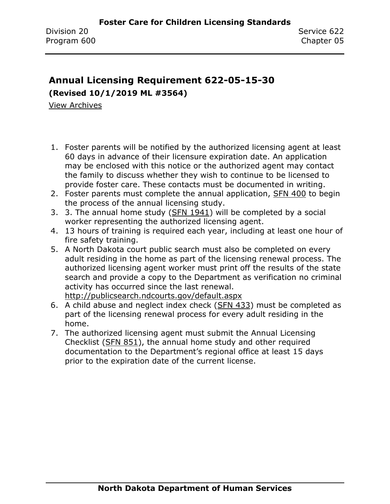# <span id="page-31-0"></span>**Annual Licensing Requirement 622-05-15-30**

**(Revised 10/1/2019 ML #3564)**

[View Archives](../../../Content/Archive%20Documents/archive.htm#622_05_15_30)

- 1. Foster parents will be notified by the authorized licensing agent at least 60 days in advance of their licensure expiration date. An application may be enclosed with this notice or the authorized agent may contact the family to discuss whether they wish to continue to be licensed to provide foster care. These contacts must be documented in writing.
- 2. Foster parents must complete the annual application, [SFN 400](https://www.nd.gov/eforms/Doc/sfn00400.pdf) to begin the process of the annual licensing study.
- 3. 3. The annual home study [\(SFN 1941\)](https://www.nd.gov/eforms/Doc/sfn01941.pdf) will be completed by a social worker representing the authorized licensing agent.
- 4. 13 hours of training is required each year, including at least one hour of fire safety training.
- 5. A North Dakota court public search must also be completed on every adult residing in the home as part of the licensing renewal process. The authorized licensing agent worker must print off the results of the state search and provide a copy to the Department as verification no criminal activity has occurred since the last renewal. <http://publicsearch.ndcourts.gov/default.aspx>
- 6. A child abuse and neglect index check [\(SFN 433\)](https://www.nd.gov/eforms/Doc/sfn00433.pdf) must be completed as part of the licensing renewal process for every adult residing in the home.
- 7. The authorized licensing agent must submit the Annual Licensing Checklist [\(SFN 851\)](https://www.nd.gov/eforms/Doc/sfn00851.pdf), the annual home study and other required documentation to the Department's regional office at least 15 days prior to the expiration date of the current license.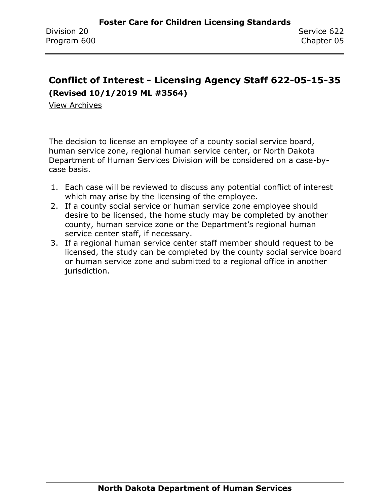# <span id="page-32-0"></span>**Conflict of Interest - Licensing Agency Staff 622-05-15-35 (Revised 10/1/2019 ML #3564)**

[View Archives](../../../Content/Archive%20Documents/archive.htm#622_50_15_35)

The decision to license an employee of a county social service board, human service zone, regional human service center, or North Dakota Department of Human Services Division will be considered on a case-bycase basis.

- 1. Each case will be reviewed to discuss any potential conflict of interest which may arise by the licensing of the employee.
- 2. If a county social service or human service zone employee should desire to be licensed, the home study may be completed by another county, human service zone or the Department's regional human service center staff, if necessary.
- 3. If a regional human service center staff member should request to be licensed, the study can be completed by the county social service board or human service zone and submitted to a regional office in another jurisdiction.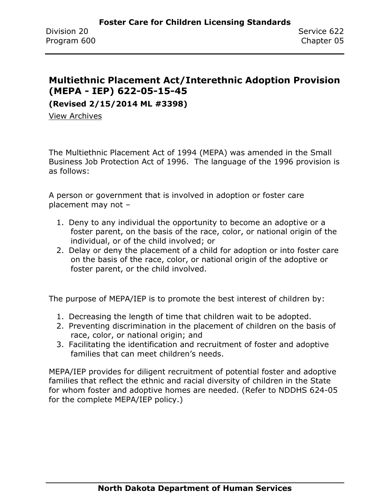### <span id="page-33-0"></span>**Multiethnic Placement Act/Interethnic Adoption Provision (MEPA - IEP) 622-05-15-45**

**(Revised 2/15/2014 ML #3398)**

[View Archives](../../../Content/Archive%20Documents/archive.htm#622_05_15_45)

The Multiethnic Placement Act of 1994 (MEPA) was amended in the Small Business Job Protection Act of 1996. The language of the 1996 provision is as follows:

A person or government that is involved in adoption or foster care placement may not –

- 1. Deny to any individual the opportunity to become an adoptive or a foster parent, on the basis of the race, color, or national origin of the individual, or of the child involved; or
- 2. Delay or deny the placement of a child for adoption or into foster care on the basis of the race, color, or national origin of the adoptive or foster parent, or the child involved.

The purpose of MEPA/IEP is to promote the best interest of children by:

- 1. Decreasing the length of time that children wait to be adopted.
- 2. Preventing discrimination in the placement of children on the basis of race, color, or national origin; and
- 3. Facilitating the identification and recruitment of foster and adoptive families that can meet children's needs.

MEPA/IEP provides for diligent recruitment of potential foster and adoptive families that reflect the ethnic and racial diversity of children in the State for whom foster and adoptive homes are needed. (Refer to NDDHS 624-05 for the complete MEPA/IEP policy.)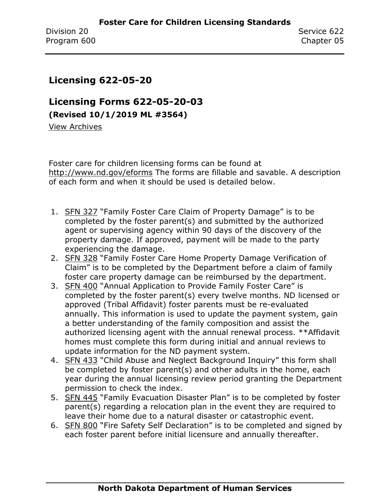### <span id="page-34-0"></span>**Licensing 622-05-20**

**Licensing Forms 622-05-20-03 (Revised 10/1/2019 ML #3564)**

[View Archives](../../../Content/Archive%20Documents/archive.htm#622_05_20_03)

Foster care for children licensing forms can be found at <http://www.nd.gov/eforms> The forms are fillable and savable. A description of each form and when it should be used is detailed below.

- 1. [SFN 327](https://www.nd.gov/eforms/Doc/sfn00327.pdf) "Family Foster Care Claim of Property Damage" is to be completed by the foster parent(s) and submitted by the authorized agent or supervising agency within 90 days of the discovery of the property damage. If approved, payment will be made to the party experiencing the damage.
- 2. [SFN 328](https://www.nd.gov/eforms/Doc/sfn00328.pdf) "Family Foster Care Home Property Damage Verification of Claim" is to be completed by the Department before a claim of family foster care property damage can be reimbursed by the department.
- 3. [SFN 400](https://www.nd.gov/eforms/Doc/sfn00400.pdf) "Annual Application to Provide Family Foster Care" is completed by the foster parent(s) every twelve months. ND licensed or approved (Tribal Affidavit) foster parents must be re-evaluated annually. This information is used to update the payment system, gain a better understanding of the family composition and assist the authorized licensing agent with the annual renewal process. \*\*Affidavit homes must complete this form during initial and annual reviews to update information for the ND payment system.
- 4. [SFN 433](https://www.nd.gov/eforms/Doc/sfn00433.pdf) "Child Abuse and Neglect Background Inquiry" this form shall be completed by foster parent(s) and other adults in the home, each year during the annual licensing review period granting the Department permission to check the index.
- 5. [SFN 445](https://www.nd.gov/eforms/Doc/sfn00445.pdf) "Family Evacuation Disaster Plan" is to be completed by foster parent(s) regarding a relocation plan in the event they are required to leave their home due to a natural disaster or catastrophic event.
- 6. [SFN 800](https://www.nd.gov/eforms/Doc/sfn00800.pdf) "Fire Safety Self Declaration" is to be completed and signed by each foster parent before initial licensure and annually thereafter.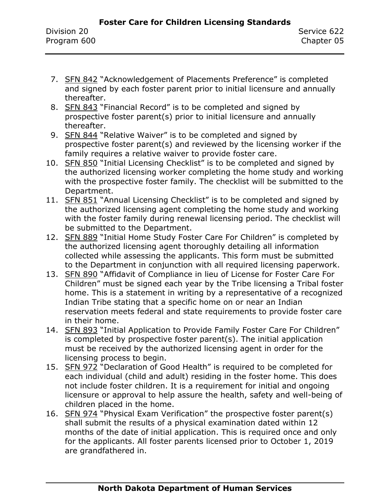- 7. [SFN 842](https://www.nd.gov/eforms/Doc/sfn00842.pdf) "Acknowledgement of Placements Preference" is completed and signed by each foster parent prior to initial licensure and annually thereafter.
- 8. [SFN 843](https://www.nd.gov/eforms/Doc/sfn00843.pdf) "Financial Record" is to be completed and signed by prospective foster parent(s) prior to initial licensure and annually thereafter.
- 9. [SFN 844](https://www.nd.gov/eforms/Doc/sfn00844.pdf) "Relative Waiver" is to be completed and signed by prospective foster parent(s) and reviewed by the licensing worker if the family requires a relative waiver to provide foster care.
- 10. [SFN 850](https://www.nd.gov/eforms/Doc/sfn00850.pdf) "Initial Licensing Checklist" is to be completed and signed by the authorized licensing worker completing the home study and working with the prospective foster family. The checklist will be submitted to the Department.
- 11. [SFN 851](https://www.nd.gov/eforms/Doc/sfn00851.pdf) "Annual Licensing Checklist" is to be completed and signed by the authorized licensing agent completing the home study and working with the foster family during renewal licensing period. The checklist will be submitted to the Department.
- 12. [SFN 889](https://www.nd.gov/eforms/Doc/sfn00889.pdf) "Initial Home Study Foster Care For Children" is completed by the authorized licensing agent thoroughly detailing all information collected while assessing the applicants. This form must be submitted to the Department in conjunction with all required licensing paperwork.
- 13. [SFN 890](https://www.nd.gov/eforms/Doc/sfn00890.pdf) "Affidavit of Compliance in lieu of License for Foster Care For Children" must be signed each year by the Tribe licensing a Tribal foster home. This is a statement in writing by a representative of a recognized Indian Tribe stating that a specific home on or near an Indian reservation meets federal and state requirements to provide foster care in their home.
- 14. [SFN 893](https://www.nd.gov/eforms/Doc/sfn00893.pdf) "Initial Application to Provide Family Foster Care For Children" is completed by prospective foster parent(s). The initial application must be received by the authorized licensing agent in order for the licensing process to begin.
- 15. [SFN 972](https://www.nd.gov/eforms/Doc/sfn00972.pdf) "Declaration of Good Health" is required to be completed for each individual (child and adult) residing in the foster home. This does not include foster children. It is a requirement for initial and ongoing licensure or approval to help assure the health, safety and well-being of children placed in the home.
- 16. [SFN 974](https://www.nd.gov/eforms/Doc/sfn00974.pdf) "Physical Exam Verification" the prospective foster parent(s) shall submit the results of a physical examination dated within 12 months of the date of initial application. This is required once and only for the applicants. All foster parents licensed prior to October 1, 2019 are grandfathered in.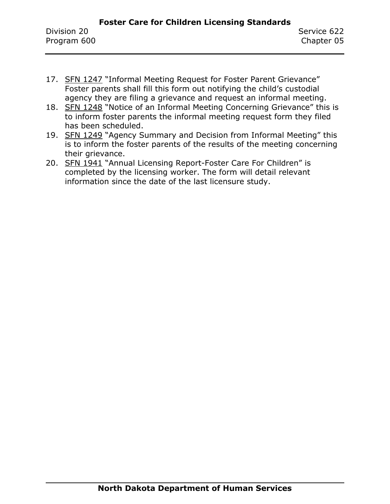- 17. [SFN 1247](https://www.nd.gov/eforms/Doc/sfn01247.pdf) "Informal Meeting Request for Foster Parent Grievance" Foster parents shall fill this form out notifying the child's custodial agency they are filing a grievance and request an informal meeting.
- 18. [SFN 1248](https://www.nd.gov/eforms/Doc/sfn01248.pdf) "Notice of an Informal Meeting Concerning Grievance" this is to inform foster parents the informal meeting request form they filed has been scheduled.
- 19. [SFN 1249](https://www.nd.gov/eforms/Doc/sfn01249.pdf) "Agency Summary and Decision from Informal Meeting" this is to inform the foster parents of the results of the meeting concerning their grievance.
- 20. [SFN 1941](https://www.nd.gov/eforms/Doc/sfn01941.pdf) "Annual Licensing Report-Foster Care For Children" is completed by the licensing worker. The form will detail relevant information since the date of the last licensure study.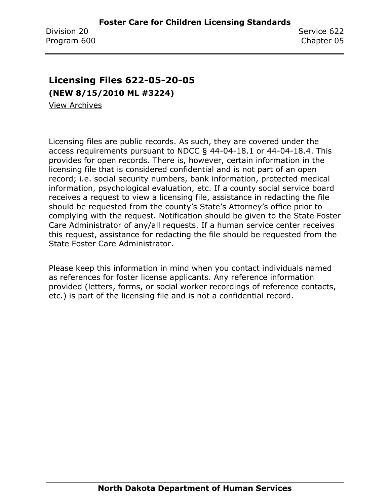# **Licensing Files 622-05-20-05**

**(NEW 8/15/2010 ML #3224)**

[View Archives](../../../Content/Archive%20Documents/archive.htm#622_05_20_05)

Licensing files are public records. As such, they are covered under the access requirements pursuant to NDCC § 44-04-18.1 or 44-04-18.4. This provides for open records. There is, however, certain information in the licensing file that is considered confidential and is not part of an open record; i.e. social security numbers, bank information, protected medical information, psychological evaluation, etc. If a county social service board receives a request to view a licensing file, assistance in redacting the file should be requested from the county's State's Attorney's office prior to complying with the request. Notification should be given to the State Foster Care Administrator of any/all requests. If a human service center receives this request, assistance for redacting the file should be requested from the State Foster Care Administrator.

Please keep this information in mind when you contact individuals named as references for foster license applicants. Any reference information provided (letters, forms, or social worker recordings of reference contacts, etc.) is part of the licensing file and is not a confidential record.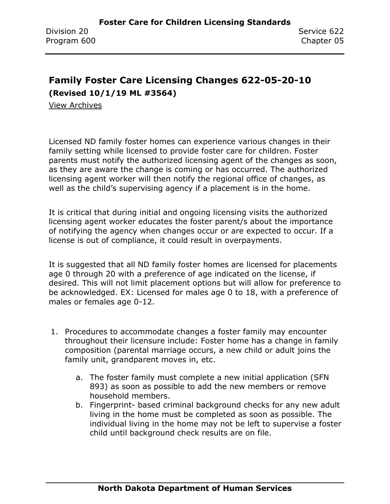# **Family Foster Care Licensing Changes 622-05-20-10**

**(Revised 10/1/19 ML #3564)**

[View Archives](../../../Content/Archive%20Documents/archive.htm#622_05_20_10)

Licensed ND family foster homes can experience various changes in their family setting while licensed to provide foster care for children. Foster parents must notify the authorized licensing agent of the changes as soon, as they are aware the change is coming or has occurred. The authorized licensing agent worker will then notify the regional office of changes, as well as the child's supervising agency if a placement is in the home.

It is critical that during initial and ongoing licensing visits the authorized licensing agent worker educates the foster parent/s about the importance of notifying the agency when changes occur or are expected to occur. If a license is out of compliance, it could result in overpayments.

It is suggested that all ND family foster homes are licensed for placements age 0 through 20 with a preference of age indicated on the license, if desired. This will not limit placement options but will allow for preference to be acknowledged. EX: Licensed for males age 0 to 18, with a preference of males or females age 0-12.

- 1. Procedures to accommodate changes a foster family may encounter throughout their licensure include: Foster home has a change in family composition (parental marriage occurs, a new child or adult joins the family unit, grandparent moves in, etc.
	- a. The foster family must complete a new initial application (SFN 893) as soon as possible to add the new members or remove household members.
	- b. Fingerprint- based criminal background checks for any new adult living in the home must be completed as soon as possible. The individual living in the home may not be left to supervise a foster child until background check results are on file.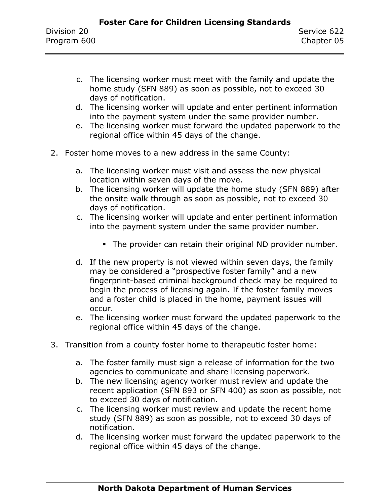- c. The licensing worker must meet with the family and update the home study (SFN 889) as soon as possible, not to exceed 30 days of notification.
- d. The licensing worker will update and enter pertinent information into the payment system under the same provider number.
- e. The licensing worker must forward the updated paperwork to the regional office within 45 days of the change.
- 2. Foster home moves to a new address in the same County:
	- a. The licensing worker must visit and assess the new physical location within seven days of the move.
	- b. The licensing worker will update the home study (SFN 889) after the onsite walk through as soon as possible, not to exceed 30 days of notification.
	- c. The licensing worker will update and enter pertinent information into the payment system under the same provider number.
		- **The provider can retain their original ND provider number.**
	- d. If the new property is not viewed within seven days, the family may be considered a "prospective foster family" and a new fingerprint-based criminal background check may be required to begin the process of licensing again. If the foster family moves and a foster child is placed in the home, payment issues will occur.
	- e. The licensing worker must forward the updated paperwork to the regional office within 45 days of the change.
- 3. Transition from a county foster home to therapeutic foster home:
	- a. The foster family must sign a release of information for the two agencies to communicate and share licensing paperwork.
	- b. The new licensing agency worker must review and update the recent application (SFN 893 or SFN 400) as soon as possible, not to exceed 30 days of notification.
	- c. The licensing worker must review and update the recent home study (SFN 889) as soon as possible, not to exceed 30 days of notification.
	- d. The licensing worker must forward the updated paperwork to the regional office within 45 days of the change.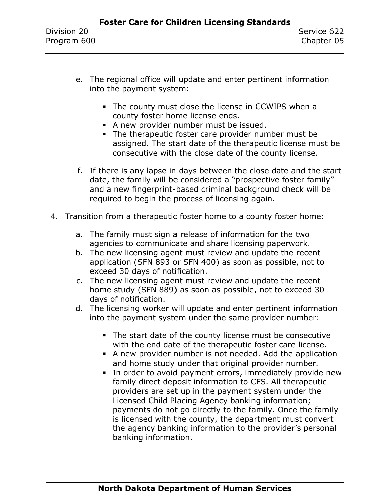- e. The regional office will update and enter pertinent information into the payment system:
	- **.** The county must close the license in CCWIPS when a county foster home license ends.
	- **•** A new provider number must be issued.
	- **The therapeutic foster care provider number must be** assigned. The start date of the therapeutic license must be consecutive with the close date of the county license.
- f. If there is any lapse in days between the close date and the start date, the family will be considered a "prospective foster family" and a new fingerprint-based criminal background check will be required to begin the process of licensing again.
- 4. Transition from a therapeutic foster home to a county foster home:
	- a. The family must sign a release of information for the two agencies to communicate and share licensing paperwork.
	- b. The new licensing agent must review and update the recent application (SFN 893 or SFN 400) as soon as possible, not to exceed 30 days of notification.
	- c. The new licensing agent must review and update the recent home study (SFN 889) as soon as possible, not to exceed 30 days of notification.
	- d. The licensing worker will update and enter pertinent information into the payment system under the same provider number:
		- The start date of the county license must be consecutive with the end date of the therapeutic foster care license.
		- A new provider number is not needed. Add the application and home study under that original provider number.
		- **.** In order to avoid payment errors, immediately provide new family direct deposit information to CFS. All therapeutic providers are set up in the payment system under the Licensed Child Placing Agency banking information; payments do not go directly to the family. Once the family is licensed with the county, the department must convert the agency banking information to the provider's personal banking information.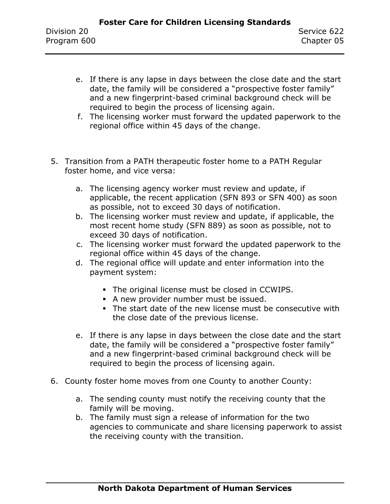- e. If there is any lapse in days between the close date and the start date, the family will be considered a "prospective foster family" and a new fingerprint-based criminal background check will be required to begin the process of licensing again.
- f. The licensing worker must forward the updated paperwork to the regional office within 45 days of the change.
- 5. Transition from a PATH therapeutic foster home to a PATH Regular foster home, and vice versa:
	- a. The licensing agency worker must review and update, if applicable, the recent application (SFN 893 or SFN 400) as soon as possible, not to exceed 30 days of notification.
	- b. The licensing worker must review and update, if applicable, the most recent home study (SFN 889) as soon as possible, not to exceed 30 days of notification.
	- c. The licensing worker must forward the updated paperwork to the regional office within 45 days of the change.
	- d. The regional office will update and enter information into the payment system:
		- The original license must be closed in CCWIPS.
		- **•** A new provider number must be issued.
		- **The start date of the new license must be consecutive with** the close date of the previous license.
	- e. If there is any lapse in days between the close date and the start date, the family will be considered a "prospective foster family" and a new fingerprint-based criminal background check will be required to begin the process of licensing again.
- 6. County foster home moves from one County to another County:
	- a. The sending county must notify the receiving county that the family will be moving.
	- b. The family must sign a release of information for the two agencies to communicate and share licensing paperwork to assist the receiving county with the transition.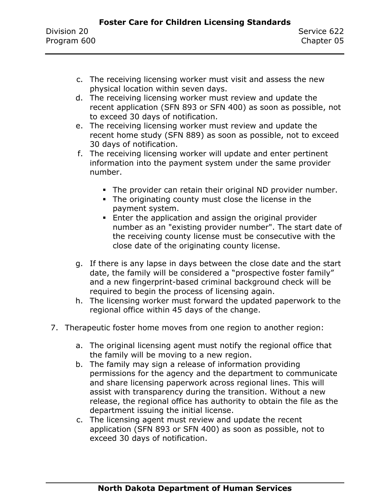- c. The receiving licensing worker must visit and assess the new physical location within seven days.
- d. The receiving licensing worker must review and update the recent application (SFN 893 or SFN 400) as soon as possible, not to exceed 30 days of notification.
- e. The receiving licensing worker must review and update the recent home study (SFN 889) as soon as possible, not to exceed 30 days of notification.
- f. The receiving licensing worker will update and enter pertinent information into the payment system under the same provider number.
	- **.** The provider can retain their original ND provider number.
	- **•** The originating county must close the license in the payment system.
	- **Enter the application and assign the original provider** number as an "existing provider number". The start date of the receiving county license must be consecutive with the close date of the originating county license.
- g. If there is any lapse in days between the close date and the start date, the family will be considered a "prospective foster family" and a new fingerprint-based criminal background check will be required to begin the process of licensing again.
- h. The licensing worker must forward the updated paperwork to the regional office within 45 days of the change.
- 7. Therapeutic foster home moves from one region to another region:
	- a. The original licensing agent must notify the regional office that the family will be moving to a new region.
	- b. The family may sign a release of information providing permissions for the agency and the department to communicate and share licensing paperwork across regional lines. This will assist with transparency during the transition. Without a new release, the regional office has authority to obtain the file as the department issuing the initial license.
	- c. The licensing agent must review and update the recent application (SFN 893 or SFN 400) as soon as possible, not to exceed 30 days of notification.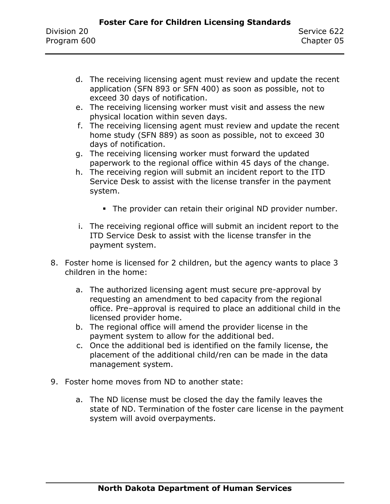- d. The receiving licensing agent must review and update the recent application (SFN 893 or SFN 400) as soon as possible, not to exceed 30 days of notification.
- e. The receiving licensing worker must visit and assess the new physical location within seven days.
- f. The receiving licensing agent must review and update the recent home study (SFN 889) as soon as possible, not to exceed 30 days of notification.
- g. The receiving licensing worker must forward the updated paperwork to the regional office within 45 days of the change.
- h. The receiving region will submit an incident report to the ITD Service Desk to assist with the license transfer in the payment system.
	- **.** The provider can retain their original ND provider number.
- i. The receiving regional office will submit an incident report to the ITD Service Desk to assist with the license transfer in the payment system.
- 8. Foster home is licensed for 2 children, but the agency wants to place 3 children in the home:
	- a. The authorized licensing agent must secure pre-approval by requesting an amendment to bed capacity from the regional office. Pre–approval is required to place an additional child in the licensed provider home.
	- b. The regional office will amend the provider license in the payment system to allow for the additional bed.
	- c. Once the additional bed is identified on the family license, the placement of the additional child/ren can be made in the data management system.
- 9. Foster home moves from ND to another state:
	- a. The ND license must be closed the day the family leaves the state of ND. Termination of the foster care license in the payment system will avoid overpayments.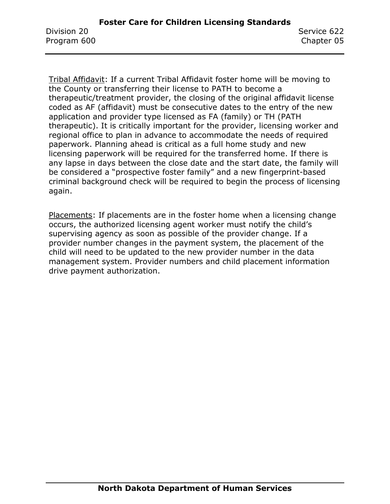Tribal Affidavit: If a current Tribal Affidavit foster home will be moving to the County or transferring their license to PATH to become a therapeutic/treatment provider, the closing of the original affidavit license coded as AF (affidavit) must be consecutive dates to the entry of the new application and provider type licensed as FA (family) or TH (PATH therapeutic). It is critically important for the provider, licensing worker and regional office to plan in advance to accommodate the needs of required paperwork. Planning ahead is critical as a full home study and new licensing paperwork will be required for the transferred home. If there is any lapse in days between the close date and the start date, the family will be considered a "prospective foster family" and a new fingerprint-based criminal background check will be required to begin the process of licensing again.

Placements: If placements are in the foster home when a licensing change occurs, the authorized licensing agent worker must notify the child's supervising agency as soon as possible of the provider change. If a provider number changes in the payment system, the placement of the child will need to be updated to the new provider number in the data management system. Provider numbers and child placement information drive payment authorization.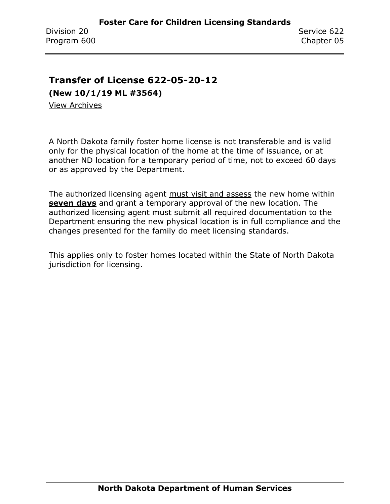### **Transfer of License 622-05-20-12**

**(New 10/1/19 ML #3564)**

[View Archives](../../../Content/Archive%20Documents/archive.htm#622_05_20_12)

A North Dakota family foster home license is not transferable and is valid only for the physical location of the home at the time of issuance, or at another ND location for a temporary period of time, not to exceed 60 days or as approved by the Department.

The authorized licensing agent must visit and assess the new home within **seven days** and grant a temporary approval of the new location. The authorized licensing agent must submit all required documentation to the Department ensuring the new physical location is in full compliance and the changes presented for the family do meet licensing standards.

This applies only to foster homes located within the State of North Dakota jurisdiction for licensing.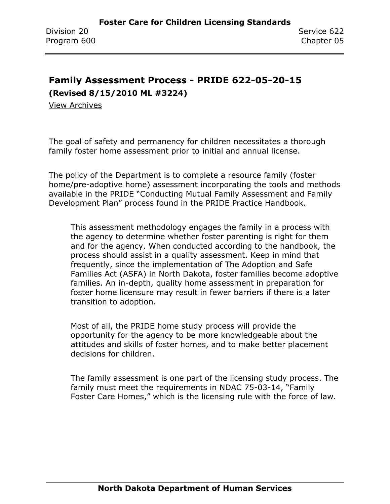## **Family Assessment Process - PRIDE 622-05-20-15**

**(Revised 8/15/2010 ML #3224)**

[View Archives](../../../Content/Archive%20Documents/archive.htm#622_05_20_15)

The goal of safety and permanency for children necessitates a thorough family foster home assessment prior to initial and annual license.

The policy of the Department is to complete a resource family (foster home/pre-adoptive home) assessment incorporating the tools and methods available in the PRIDE "Conducting Mutual Family Assessment and Family Development Plan" process found in the PRIDE Practice Handbook.

This assessment methodology engages the family in a process with the agency to determine whether foster parenting is right for them and for the agency. When conducted according to the handbook, the process should assist in a quality assessment. Keep in mind that frequently, since the implementation of The Adoption and Safe Families Act (ASFA) in North Dakota, foster families become adoptive families. An in-depth, quality home assessment in preparation for foster home licensure may result in fewer barriers if there is a later transition to adoption.

Most of all, the PRIDE home study process will provide the opportunity for the agency to be more knowledgeable about the attitudes and skills of foster homes, and to make better placement decisions for children.

The family assessment is one part of the licensing study process. The family must meet the requirements in NDAC 75-03-14, "Family Foster Care Homes," which is the licensing rule with the force of law.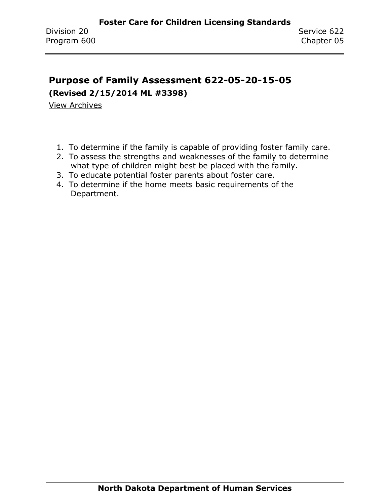## **Purpose of Family Assessment 622-05-20-15-05**

**(Revised 2/15/2014 ML #3398)**

[View Archives](../../../Content/Archive%20Documents/archive.htm#622_05_20_15_05)

- 1. To determine if the family is capable of providing foster family care.
- 2. To assess the strengths and weaknesses of the family to determine what type of children might best be placed with the family.
- 3. To educate potential foster parents about foster care.
- 4. To determine if the home meets basic requirements of the Department.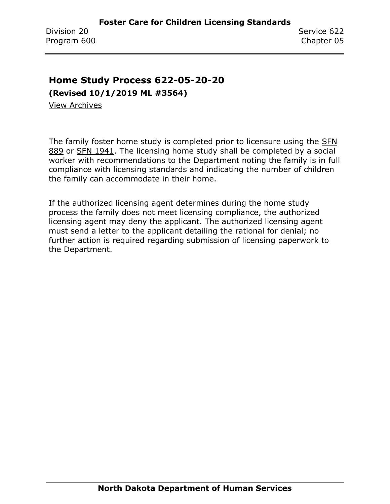### **Home Study Process 622-05-20-20**

**(Revised 10/1/2019 ML #3564)**

[View Archives](../../../Content/Archive%20Documents/archive.htm#622_05_20_20)

The family foster home study is completed prior to licensure using the [SFN](https://www.nd.gov/eforms/Doc/sfn0889.pdf)  [889](https://www.nd.gov/eforms/Doc/sfn0889.pdf) or [SFN 1941.](https://www.nd.gov/eforms/Doc/sfn01941.pdf) The licensing home study shall be completed by a social worker with recommendations to the Department noting the family is in full compliance with licensing standards and indicating the number of children the family can accommodate in their home.

If the authorized licensing agent determines during the home study process the family does not meet licensing compliance, the authorized licensing agent may deny the applicant. The authorized licensing agent must send a letter to the applicant detailing the rational for denial; no further action is required regarding submission of licensing paperwork to the Department.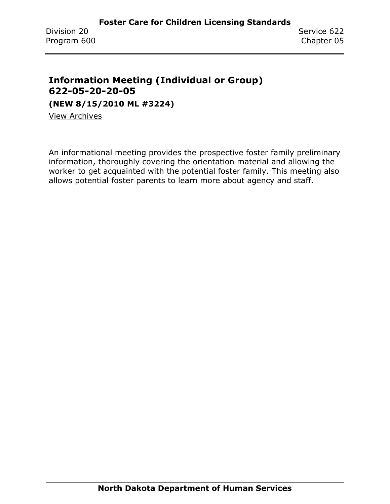### **Information Meeting (Individual or Group) 622-05-20-20-05**

**(NEW 8/15/2010 ML #3224)**

View [Archives](../../../Content/Archive%20Documents/archive.htm#622_05_20_20_05)

An informational meeting provides the prospective foster family preliminary information, thoroughly covering the orientation material and allowing the worker to get acquainted with the potential foster family. This meeting also allows potential foster parents to learn more about agency and staff.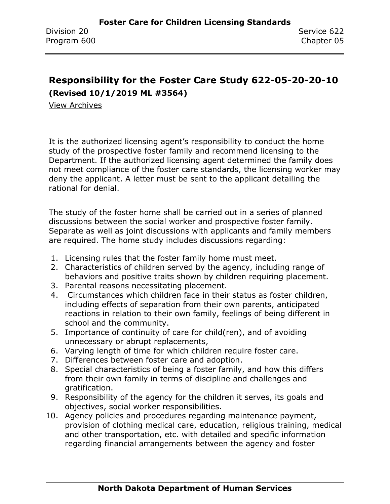### **Responsibility for the Foster Care Study 622-05-20-20-10 (Revised 10/1/2019 ML #3564)**

[View Archives](../../../Content/Archive%20Documents/archive.htm#622_05_20_20_10)

It is the authorized licensing agent's responsibility to conduct the home study of the prospective foster family and recommend licensing to the Department. If the authorized licensing agent determined the family does not meet compliance of the foster care standards, the licensing worker may deny the applicant. A letter must be sent to the applicant detailing the rational for denial.

The study of the foster home shall be carried out in a series of planned discussions between the social worker and prospective foster family. Separate as well as joint discussions with applicants and family members are required. The home study includes discussions regarding:

- 1. Licensing rules that the foster family home must meet.
- 2. Characteristics of children served by the agency, including range of behaviors and positive traits shown by children requiring placement.
- 3. Parental reasons necessitating placement.
- 4. Circumstances which children face in their status as foster children, including effects of separation from their own parents, anticipated reactions in relation to their own family, feelings of being different in school and the community.
- 5. Importance of continuity of care for child(ren), and of avoiding unnecessary or abrupt replacements,
- 6. Varying length of time for which children require foster care.
- 7. Differences between foster care and adoption.
- 8. Special characteristics of being a foster family, and how this differs from their own family in terms of discipline and challenges and gratification.
- 9. Responsibility of the agency for the children it serves, its goals and objectives, social worker responsibilities.
- 10. Agency policies and procedures regarding maintenance payment, provision of clothing medical care, education, religious training, medical and other transportation, etc. with detailed and specific information regarding financial arrangements between the agency and foster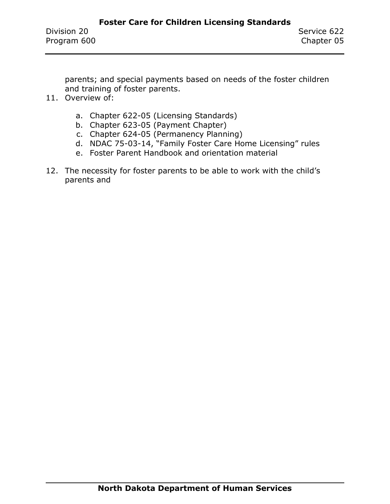parents; and special payments based on needs of the foster children and training of foster parents.

- 11. Overview of:
	- a. Chapter 622-05 (Licensing Standards)
	- b. Chapter 623-05 (Payment Chapter)
	- c. Chapter 624-05 (Permanency Planning)
	- d. NDAC 75-03-14, "Family Foster Care Home Licensing" rules
	- e. Foster Parent Handbook and orientation material
- 12. The necessity for foster parents to be able to work with the child's parents and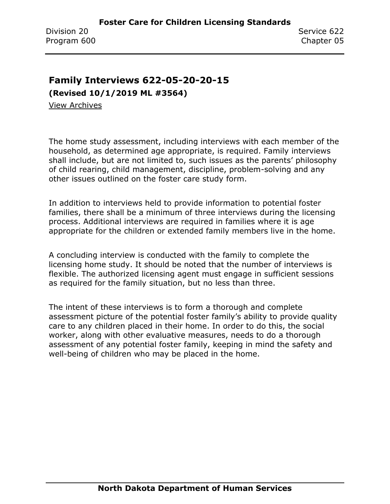### **Family Interviews 622-05-20-20-15**

**(Revised 10/1/2019 ML #3564)**

[View Archives](../../../Content/Archive%20Documents/archive.htm#622_05_20_20_15)

The home study assessment, including interviews with each member of the household, as determined age appropriate, is required. Family interviews shall include, but are not limited to, such issues as the parents' philosophy of child rearing, child management, discipline, problem-solving and any other issues outlined on the foster care study form.

In addition to interviews held to provide information to potential foster families, there shall be a minimum of three interviews during the licensing process. Additional interviews are required in families where it is age appropriate for the children or extended family members live in the home.

A concluding interview is conducted with the family to complete the licensing home study. It should be noted that the number of interviews is flexible. The authorized licensing agent must engage in sufficient sessions as required for the family situation, but no less than three.

The intent of these interviews is to form a thorough and complete assessment picture of the potential foster family's ability to provide quality care to any children placed in their home. In order to do this, the social worker, along with other evaluative measures, needs to do a thorough assessment of any potential foster family, keeping in mind the safety and well-being of children who may be placed in the home.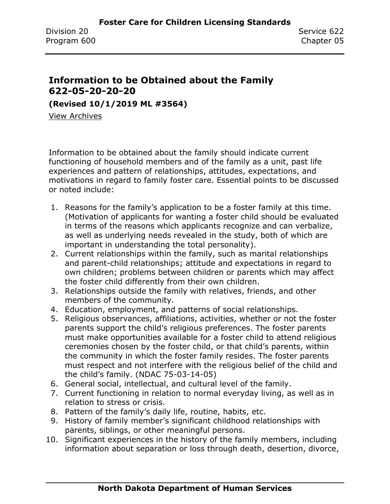### **Information to be Obtained about the Family 622-05-20-20-20**

**(Revised 10/1/2019 ML #3564)**

[View Archives](../../../Content/Archive%20Documents/archive.htm#622_05_20_20_20)

Information to be obtained about the family should indicate current functioning of household members and of the family as a unit, past life experiences and pattern of relationships, attitudes, expectations, and motivations in regard to family foster care. Essential points to be discussed or noted include:

- 1. Reasons for the family's application to be a foster family at this time. (Motivation of applicants for wanting a foster child should be evaluated in terms of the reasons which applicants recognize and can verbalize, as well as underlying needs revealed in the study, both of which are important in understanding the total personality).
- 2. Current relationships within the family, such as marital relationships and parent-child relationships; attitude and expectations in regard to own children; problems between children or parents which may affect the foster child differently from their own children.
- 3. Relationships outside the family with relatives, friends, and other members of the community.
- 4. Education, employment, and patterns of social relationships.
- 5. Religious observances, affiliations, activities, whether or not the foster parents support the child's religious preferences. The foster parents must make opportunities available for a foster child to attend religious ceremonies chosen by the foster child, or that child's parents, within the community in which the foster family resides. The foster parents must respect and not interfere with the religious belief of the child and the child's family. (NDAC 75-03-14-05)
- 6. General social, intellectual, and cultural level of the family.
- 7. Current functioning in relation to normal everyday living, as well as in relation to stress or crisis.
- 8. Pattern of the family's daily life, routine, habits, etc.
- 9. History of family member's significant childhood relationships with parents, siblings, or other meaningful persons.
- 10. Significant experiences in the history of the family members, including information about separation or loss through death, desertion, divorce,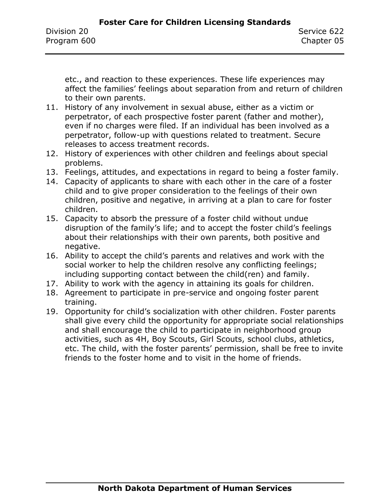etc., and reaction to these experiences. These life experiences may affect the families' feelings about separation from and return of children to their own parents.

- 11. History of any involvement in sexual abuse, either as a victim or perpetrator, of each prospective foster parent (father and mother), even if no charges were filed. If an individual has been involved as a perpetrator, follow-up with questions related to treatment. Secure releases to access treatment records.
- 12. History of experiences with other children and feelings about special problems.
- 13. Feelings, attitudes, and expectations in regard to being a foster family.
- 14. Capacity of applicants to share with each other in the care of a foster child and to give proper consideration to the feelings of their own children, positive and negative, in arriving at a plan to care for foster children.
- 15. Capacity to absorb the pressure of a foster child without undue disruption of the family's life; and to accept the foster child's feelings about their relationships with their own parents, both positive and negative.
- 16. Ability to accept the child's parents and relatives and work with the social worker to help the children resolve any conflicting feelings; including supporting contact between the child(ren) and family.
- 17. Ability to work with the agency in attaining its goals for children.
- 18. Agreement to participate in pre-service and ongoing foster parent training.
- 19. Opportunity for child's socialization with other children. Foster parents shall give every child the opportunity for appropriate social relationships and shall encourage the child to participate in neighborhood group activities, such as 4H, Boy Scouts, Girl Scouts, school clubs, athletics, etc. The child, with the foster parents' permission, shall be free to invite friends to the foster home and to visit in the home of friends.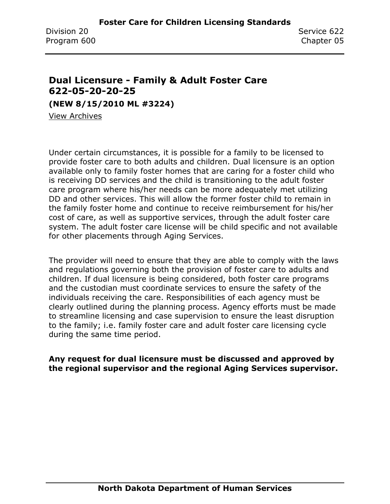### **Dual Licensure - Family & Adult Foster Care 622-05-20-20-25**

**(NEW 8/15/2010 ML #3224)**

[View Archives](../../../Content/Archive%20Documents/archive.htm#622_05_20_20_25)

Under certain circumstances, it is possible for a family to be licensed to provide foster care to both adults and children. Dual licensure is an option available only to family foster homes that are caring for a foster child who is receiving DD services and the child is transitioning to the adult foster care program where his/her needs can be more adequately met utilizing DD and other services. This will allow the former foster child to remain in the family foster home and continue to receive reimbursement for his/her cost of care, as well as supportive services, through the adult foster care system. The adult foster care license will be child specific and not available for other placements through Aging Services.

The provider will need to ensure that they are able to comply with the laws and regulations governing both the provision of foster care to adults and children. If dual licensure is being considered, both foster care programs and the custodian must coordinate services to ensure the safety of the individuals receiving the care. Responsibilities of each agency must be clearly outlined during the planning process. Agency efforts must be made to streamline licensing and case supervision to ensure the least disruption to the family; i.e. family foster care and adult foster care licensing cycle during the same time period.

**Any request for dual licensure must be discussed and approved by the regional supervisor and the regional Aging Services supervisor.**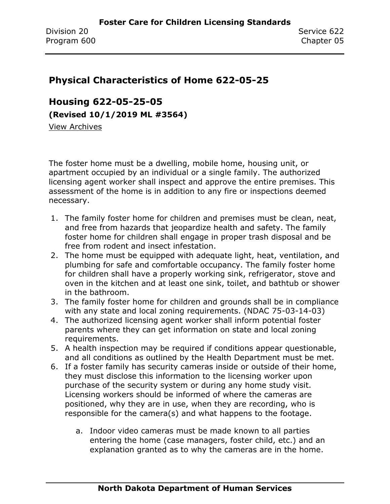### **Physical Characteristics of Home 622-05-25**

**Housing 622-05-25-05 (Revised 10/1/2019 ML #3564)**

[View Archives](../../../Content/Archive%20Documents/archive.htm#622_05_25_05)

The foster home must be a dwelling, mobile home, housing unit, or apartment occupied by an individual or a single family. The authorized licensing agent worker shall inspect and approve the entire premises. This assessment of the home is in addition to any fire or inspections deemed necessary.

- 1. The family foster home for children and premises must be clean, neat, and free from hazards that jeopardize health and safety. The family foster home for children shall engage in proper trash disposal and be free from rodent and insect infestation.
- 2. The home must be equipped with adequate light, heat, ventilation, and plumbing for safe and comfortable occupancy. The family foster home for children shall have a properly working sink, refrigerator, stove and oven in the kitchen and at least one sink, toilet, and bathtub or shower in the bathroom.
- 3. The family foster home for children and grounds shall be in compliance with any state and local zoning requirements. (NDAC 75-03-14-03)
- 4. The authorized licensing agent worker shall inform potential foster parents where they can get information on state and local zoning requirements.
- 5. A health inspection may be required if conditions appear questionable, and all conditions as outlined by the Health Department must be met.
- 6. If a foster family has security cameras inside or outside of their home, they must disclose this information to the licensing worker upon purchase of the security system or during any home study visit. Licensing workers should be informed of where the cameras are positioned, why they are in use, when they are recording, who is responsible for the camera(s) and what happens to the footage.
	- a. Indoor video cameras must be made known to all parties entering the home (case managers, foster child, etc.) and an explanation granted as to why the cameras are in the home.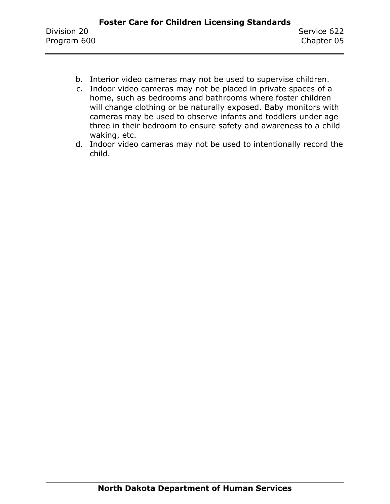- b. Interior video cameras may not be used to supervise children.
- c. Indoor video cameras may not be placed in private spaces of a home, such as bedrooms and bathrooms where foster children will change clothing or be naturally exposed. Baby monitors with cameras may be used to observe infants and toddlers under age three in their bedroom to ensure safety and awareness to a child waking, etc.
- d. Indoor video cameras may not be used to intentionally record the child.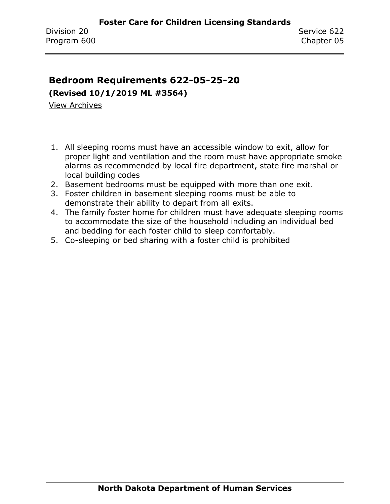### **Bedroom Requirements 622-05-25-20**

**(Revised 10/1/2019 ML #3564)**

[View Archives](../../../Content/Archive%20Documents/archive.htm#622_05_25_20)

- 1. All sleeping rooms must have an accessible window to exit, allow for proper light and ventilation and the room must have appropriate smoke alarms as recommended by local fire department, state fire marshal or local building codes
- 2. Basement bedrooms must be equipped with more than one exit.
- 3. Foster children in basement sleeping rooms must be able to demonstrate their ability to depart from all exits.
- 4. The family foster home for children must have adequate sleeping rooms to accommodate the size of the household including an individual bed and bedding for each foster child to sleep comfortably.
- 5. Co-sleeping or bed sharing with a foster child is prohibited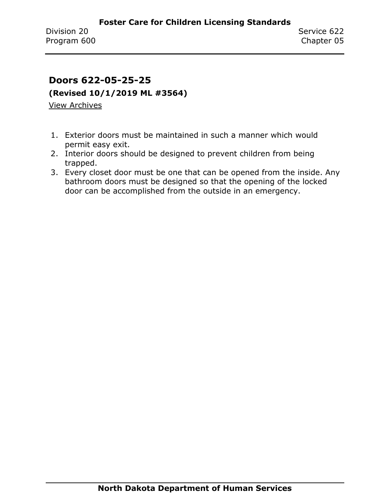### **Doors 622-05-25-25**

**(Revised 10/1/2019 ML #3564)**

[View Archives](../../../Content/Archive%20Documents/archive.htm#622_05_25_25)

- 1. Exterior doors must be maintained in such a manner which would permit easy exit.
- 2. Interior doors should be designed to prevent children from being trapped.
- 3. Every closet door must be one that can be opened from the inside. Any bathroom doors must be designed so that the opening of the locked door can be accomplished from the outside in an emergency.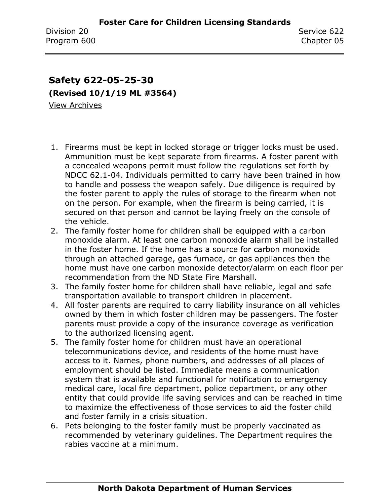### **Safety 622-05-25-30 (Revised 10/1/19 ML #3564)** [View Archives](../../../Content/Archive%20Documents/archive.htm#622_05_25_30)

- 1. Firearms must be kept in locked storage or trigger locks must be used. Ammunition must be kept separate from firearms. A foster parent with a concealed weapons permit must follow the regulations set forth by NDCC 62.1-04. Individuals permitted to carry have been trained in how to handle and possess the weapon safely. Due diligence is required by the foster parent to apply the rules of storage to the firearm when not on the person. For example, when the firearm is being carried, it is secured on that person and cannot be laying freely on the console of the vehicle.
- 2. The family foster home for children shall be equipped with a carbon monoxide alarm. At least one carbon monoxide alarm shall be installed in the foster home. If the home has a source for carbon monoxide through an attached garage, gas furnace, or gas appliances then the home must have one carbon monoxide detector/alarm on each floor per recommendation from the ND State Fire Marshall.
- 3. The family foster home for children shall have reliable, legal and safe transportation available to transport children in placement.
- 4. All foster parents are required to carry liability insurance on all vehicles owned by them in which foster children may be passengers. The foster parents must provide a copy of the insurance coverage as verification to the authorized licensing agent.
- 5. The family foster home for children must have an operational telecommunications device, and residents of the home must have access to it. Names, phone numbers, and addresses of all places of employment should be listed. Immediate means a communication system that is available and functional for notification to emergency medical care, local fire department, police department, or any other entity that could provide life saving services and can be reached in time to maximize the effectiveness of those services to aid the foster child and foster family in a crisis situation.
- 6. Pets belonging to the foster family must be properly vaccinated as recommended by veterinary guidelines. The Department requires the rabies vaccine at a minimum.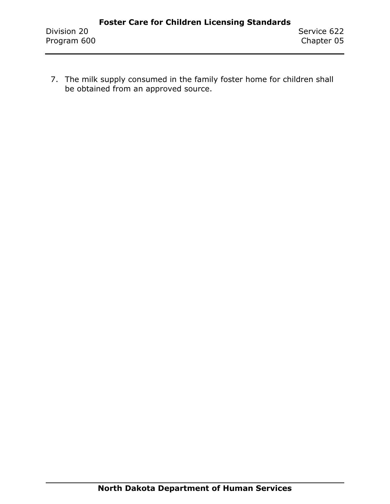7. The milk supply consumed in the family foster home for children shall be obtained from an approved source.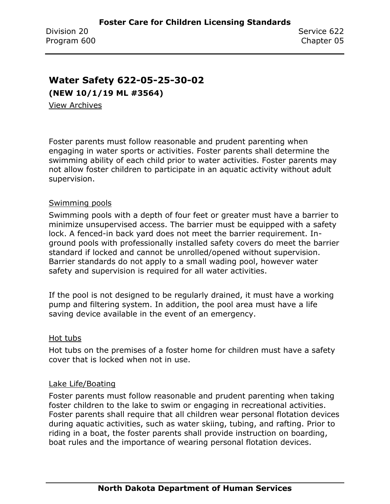### **Water Safety 622-05-25-30-02**

**(NEW 10/1/19 ML #3564)**

[View Archives](../../../Content/Archive%20Documents/archive.htm#622_05_25_30_02)

Foster parents must follow reasonable and prudent parenting when engaging in water sports or activities. Foster parents shall determine the swimming ability of each child prior to water activities. Foster parents may not allow foster children to participate in an aquatic activity without adult supervision.

#### Swimming pools

Swimming pools with a depth of four feet or greater must have a barrier to minimize unsupervised access. The barrier must be equipped with a safety lock. A fenced-in back yard does not meet the barrier requirement. Inground pools with professionally installed safety covers do meet the barrier standard if locked and cannot be unrolled/opened without supervision. Barrier standards do not apply to a small wading pool, however water safety and supervision is required for all water activities.

If the pool is not designed to be regularly drained, it must have a working pump and filtering system. In addition, the pool area must have a life saving device available in the event of an emergency.

#### Hot tubs

Hot tubs on the premises of a foster home for children must have a safety cover that is locked when not in use.

#### Lake Life/Boating

Foster parents must follow reasonable and prudent parenting when taking foster children to the lake to swim or engaging in recreational activities. Foster parents shall require that all children wear personal flotation devices during aquatic activities, such as water skiing, tubing, and rafting. Prior to riding in a boat, the foster parents shall provide instruction on boarding, boat rules and the importance of wearing personal flotation devices.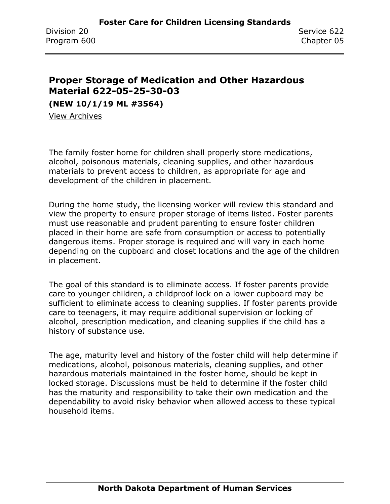### **Proper Storage of Medication and Other Hazardous Material 622-05-25-30-03**

**(NEW 10/1/19 ML #3564)**

[View Archives](../../../Content/Archive%20Documents/archive.htm#622_05_25_30_03)

The family foster home for children shall properly store medications, alcohol, poisonous materials, cleaning supplies, and other hazardous materials to prevent access to children, as appropriate for age and development of the children in placement.

During the home study, the licensing worker will review this standard and view the property to ensure proper storage of items listed. Foster parents must use reasonable and prudent parenting to ensure foster children placed in their home are safe from consumption or access to potentially dangerous items. Proper storage is required and will vary in each home depending on the cupboard and closet locations and the age of the children in placement.

The goal of this standard is to eliminate access. If foster parents provide care to younger children, a childproof lock on a lower cupboard may be sufficient to eliminate access to cleaning supplies. If foster parents provide care to teenagers, it may require additional supervision or locking of alcohol, prescription medication, and cleaning supplies if the child has a history of substance use.

The age, maturity level and history of the foster child will help determine if medications, alcohol, poisonous materials, cleaning supplies, and other hazardous materials maintained in the foster home, should be kept in locked storage. Discussions must be held to determine if the foster child has the maturity and responsibility to take their own medication and the dependability to avoid risky behavior when allowed access to these typical household items.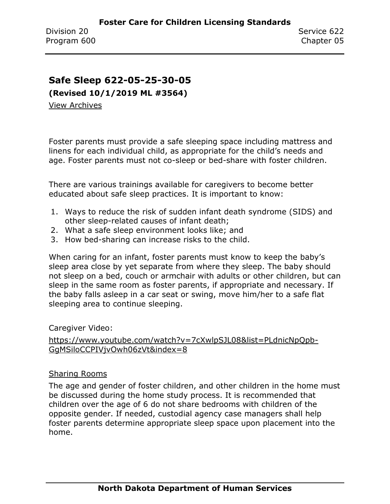### **Safe Sleep 622-05-25-30-05**

**(Revised 10/1/2019 ML #3564)**

[View Archives](../../../Content/Archive%20Documents/archive.htm#622_05_25_30_05)

Foster parents must provide a safe sleeping space including mattress and linens for each individual child, as appropriate for the child's needs and age. Foster parents must not co-sleep or bed-share with foster children.

There are various trainings available for caregivers to become better educated about safe sleep practices. It is important to know:

- 1. Ways to reduce the risk of sudden infant death syndrome (SIDS) and other sleep-related causes of infant death;
- 2. What a safe sleep environment looks like; and
- 3. How bed-sharing can increase risks to the child.

When caring for an infant, foster parents must know to keep the baby's sleep area close by yet separate from where they sleep. The baby should not sleep on a bed, couch or armchair with adults or other children, but can sleep in the same room as foster parents, if appropriate and necessary. If the baby falls asleep in a car seat or swing, move him/her to a safe flat sleeping area to continue sleeping.

#### Caregiver Video:

[https://www.youtube.com/watch?v=7cXwlpSJL08&list=PLdnicNpQpb-](https://www.youtube.com/watch?v=7cXwlpSJL08&list=PLdnicNpQpb-GgMSiloCCPIVjvOwh06zVt&index=8)[GgMSiloCCPIVjvOwh06zVt&index=8](https://www.youtube.com/watch?v=7cXwlpSJL08&list=PLdnicNpQpb-GgMSiloCCPIVjvOwh06zVt&index=8)

#### Sharing Rooms

The age and gender of foster children, and other children in the home must be discussed during the home study process. It is recommended that children over the age of 6 do not share bedrooms with children of the opposite gender. If needed, custodial agency case managers shall help foster parents determine appropriate sleep space upon placement into the home.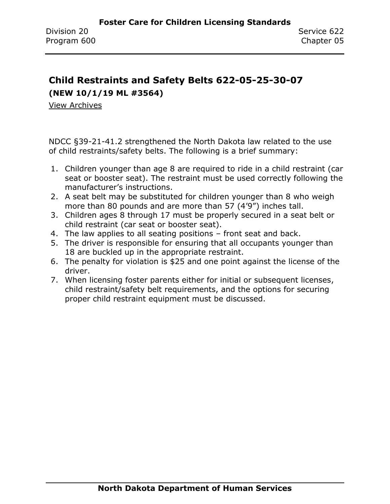### **Child Restraints and Safety Belts 622-05-25-30-07 (NEW 10/1/19 ML #3564)**

[View Archives](../../../Content/Archive%20Documents/archive.htm#622_05_25_30_07)

NDCC §39-21-41.2 strengthened the North Dakota law related to the use of child restraints/safety belts. The following is a brief summary:

- 1. Children younger than age 8 are required to ride in a child restraint (car seat or booster seat). The restraint must be used correctly following the manufacturer's instructions.
- 2. A seat belt may be substituted for children younger than 8 who weigh more than 80 pounds and are more than 57 (4'9") inches tall.
- 3. Children ages 8 through 17 must be properly secured in a seat belt or child restraint (car seat or booster seat).
- 4. The law applies to all seating positions front seat and back.
- 5. The driver is responsible for ensuring that all occupants younger than 18 are buckled up in the appropriate restraint.
- 6. The penalty for violation is \$25 and one point against the license of the driver.
- 7. When licensing foster parents either for initial or subsequent licenses, child restraint/safety belt requirements, and the options for securing proper child restraint equipment must be discussed.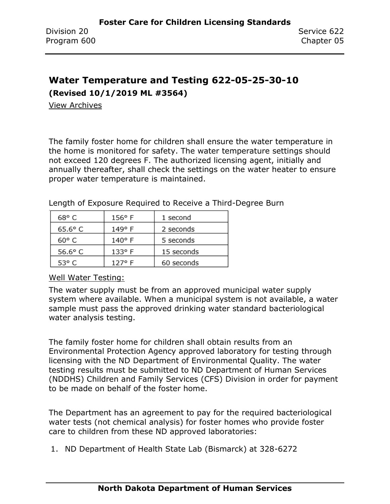# **Water Temperature and Testing 622-05-25-30-10**

**(Revised 10/1/2019 ML #3564)**

[View Archives](../../../Content/Archive%20Documents/archive.htm#622_05_25_30_10)

The family foster home for children shall ensure the water temperature in the home is monitored for safety. The water temperature settings should not exceed 120 degrees F. The authorized licensing agent, initially and annually thereafter, shall check the settings on the water heater to ensure proper water temperature is maintained.

| 68° C          | $156°$ F        | 1 second   |
|----------------|-----------------|------------|
| $65.6^\circ$ C | 149° F          | 2 seconds  |
| $60^{\circ}$ C | 140° F          | 5 seconds  |
| $56.6^\circ$ C | $133^{\circ}$ F | 15 seconds |
| 53° C          | 127° F          | 60 seconds |

Length of Exposure Required to Receive a Third-Degree Burn

#### Well Water Testing:

The water supply must be from an approved municipal water supply system where available. When a municipal system is not available, a water sample must pass the approved drinking water standard bacteriological water analysis testing.

The family foster home for children shall obtain results from an Environmental Protection Agency approved laboratory for testing through licensing with the ND Department of Environmental Quality. The water testing results must be submitted to ND Department of Human Services (NDDHS) Children and Family Services (CFS) Division in order for payment to be made on behalf of the foster home.

The Department has an agreement to pay for the required bacteriological water tests (not chemical analysis) for foster homes who provide foster care to children from these ND approved laboratories:

1. ND Department of Health State Lab (Bismarck) at 328-6272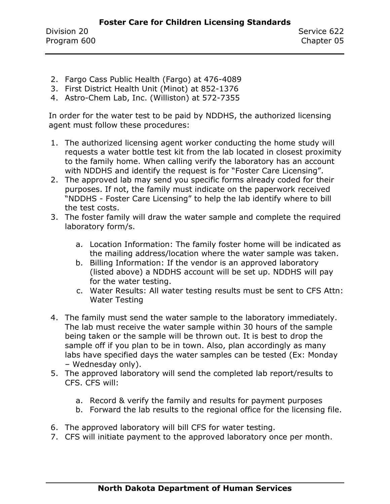- 2. Fargo Cass Public Health (Fargo) at 476-4089
- 3. First District Health Unit (Minot) at 852-1376
- 4. Astro-Chem Lab, Inc. (Williston) at 572-7355

In order for the water test to be paid by NDDHS, the authorized licensing agent must follow these procedures:

- 1. The authorized licensing agent worker conducting the home study will requests a water bottle test kit from the lab located in closest proximity to the family home. When calling verify the laboratory has an account with NDDHS and identify the request is for "Foster Care Licensing".
- 2. The approved lab may send you specific forms already coded for their purposes. If not, the family must indicate on the paperwork received "NDDHS - Foster Care Licensing" to help the lab identify where to bill the test costs.
- 3. The foster family will draw the water sample and complete the required laboratory form/s.
	- a. Location Information: The family foster home will be indicated as the mailing address/location where the water sample was taken.
	- b. Billing Information: If the vendor is an approved laboratory (listed above) a NDDHS account will be set up. NDDHS will pay for the water testing.
	- c. Water Results: All water testing results must be sent to CFS Attn: Water Testing
- 4. The family must send the water sample to the laboratory immediately. The lab must receive the water sample within 30 hours of the sample being taken or the sample will be thrown out. It is best to drop the sample off if you plan to be in town. Also, plan accordingly as many labs have specified days the water samples can be tested (Ex: Monday – Wednesday only).
- 5. The approved laboratory will send the completed lab report/results to CFS. CFS will:
	- a. Record & verify the family and results for payment purposes
	- b. Forward the lab results to the regional office for the licensing file.
- 6. The approved laboratory will bill CFS for water testing.
- 7. CFS will initiate payment to the approved laboratory once per month.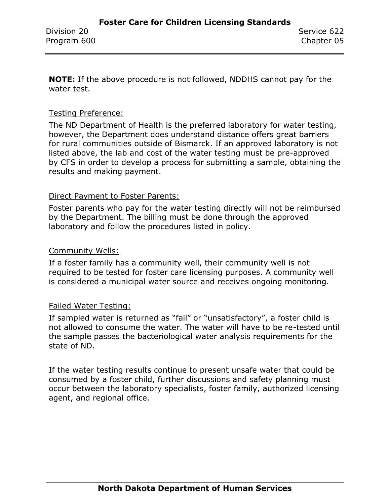**NOTE:** If the above procedure is not followed, NDDHS cannot pay for the water test.

#### Testing Preference:

The ND Department of Health is the preferred laboratory for water testing, however, the Department does understand distance offers great barriers for rural communities outside of Bismarck. If an approved laboratory is not listed above, the lab and cost of the water testing must be pre-approved by CFS in order to develop a process for submitting a sample, obtaining the results and making payment.

#### Direct Payment to Foster Parents:

Foster parents who pay for the water testing directly will not be reimbursed by the Department. The billing must be done through the approved laboratory and follow the procedures listed in policy.

#### Community Wells:

If a foster family has a community well, their community well is not required to be tested for foster care licensing purposes. A community well is considered a municipal water source and receives ongoing monitoring.

#### Failed Water Testing:

If sampled water is returned as "fail" or "unsatisfactory", a foster child is not allowed to consume the water. The water will have to be re-tested until the sample passes the bacteriological water analysis requirements for the state of ND.

If the water testing results continue to present unsafe water that could be consumed by a foster child, further discussions and safety planning must occur between the laboratory specialists, foster family, authorized licensing agent, and regional office.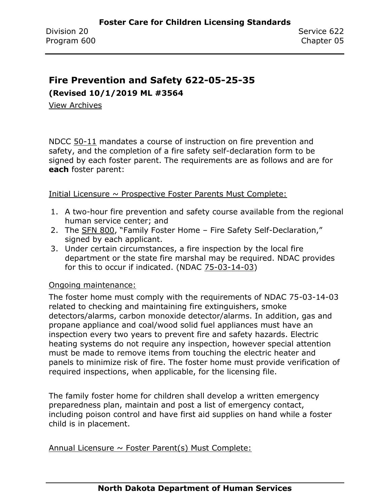### **Fire Prevention and Safety 622-05-25-35**

**(Revised 10/1/2019 ML #3564**

[View Archives](../../../Content/Archive%20Documents/archive.htm#622_05_25_35)

NDCC 50-11 mandates a course of instruction on fire prevention and safety, and the completion of a fire safety self-declaration form to be signed by each foster parent. The requirements are as follows and are for **each** foster parent:

Initial Licensure  $\sim$  Prospective Foster Parents Must Complete:

- 1. A two-hour fire prevention and safety course available from the regional human service center; and
- 2. The [SFN 800,](https://www.nd.gov/eforms/Doc/sfn00800.pdf) "Family Foster Home Fire Safety Self-Declaration," signed by each applicant.
- 3. Under certain circumstances, a fire inspection by the local fire department or the state fire marshal may be required. NDAC provides for this to occur if indicated. (NDAC 75-03-14-03)

#### Ongoing maintenance:

The foster home must comply with the requirements of NDAC 75-03-14-03 related to checking and maintaining fire extinguishers, smoke detectors/alarms, carbon monoxide detector/alarms. In addition, gas and propane appliance and coal/wood solid fuel appliances must have an inspection every two years to prevent fire and safety hazards. Electric heating systems do not require any inspection, however special attention must be made to remove items from touching the electric heater and panels to minimize risk of fire. The foster home must provide verification of required inspections, when applicable, for the licensing file.

The family foster home for children shall develop a written emergency preparedness plan, maintain and post a list of emergency contact, including poison control and have first aid supplies on hand while a foster child is in placement.

Annual Licensure  $\sim$  Foster Parent(s) Must Complete: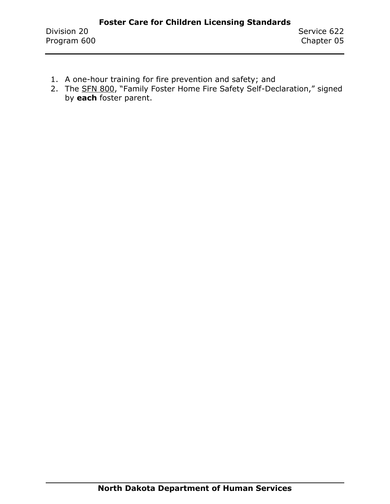- 1. A one-hour training for fire prevention and safety; and
- 2. The [SFN 800](https://www.nd.gov/eforms/Doc/sfn00800.pdf), "Family Foster Home Fire Safety Self-Declaration," signed by **each** foster parent.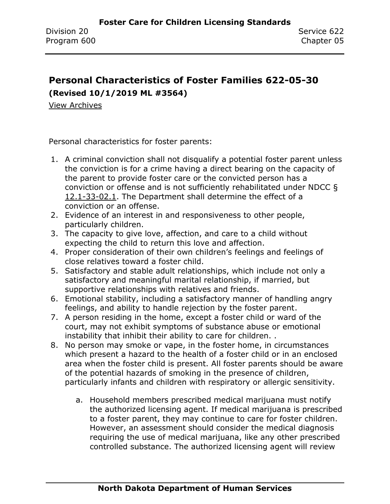### **Personal Characteristics of Foster Families 622-05-30 (Revised 10/1/2019 ML #3564)**

[View Archives](../../../Content/Archive%20Documents/archive.htm#622_05_30)

Personal characteristics for foster parents:

- 1. A criminal conviction shall not disqualify a potential foster parent unless the conviction is for a crime having a direct bearing on the capacity of the parent to provide foster care or the convicted person has a conviction or offense and is not sufficiently rehabilitated under NDCC § 12.1-33-02.1. The Department shall determine the effect of a conviction or an offense.
- 2. Evidence of an interest in and responsiveness to other people, particularly children.
- 3. The capacity to give love, affection, and care to a child without expecting the child to return this love and affection.
- 4. Proper consideration of their own children's feelings and feelings of close relatives toward a foster child.
- 5. Satisfactory and stable adult relationships, which include not only a satisfactory and meaningful marital relationship, if married, but supportive relationships with relatives and friends.
- 6. Emotional stability, including a satisfactory manner of handling angry feelings, and ability to handle rejection by the foster parent.
- 7. A person residing in the home, except a foster child or ward of the court, may not exhibit symptoms of substance abuse or emotional instability that inhibit their ability to care for children. .
- 8. No person may smoke or vape, in the foster home, in circumstances which present a hazard to the health of a foster child or in an enclosed area when the foster child is present. All foster parents should be aware of the potential hazards of smoking in the presence of children, particularly infants and children with respiratory or allergic sensitivity.
	- a. Household members prescribed medical marijuana must notify the authorized licensing agent. If medical marijuana is prescribed to a foster parent, they may continue to care for foster children. However, an assessment should consider the medical diagnosis requiring the use of medical marijuana, like any other prescribed controlled substance. The authorized licensing agent will review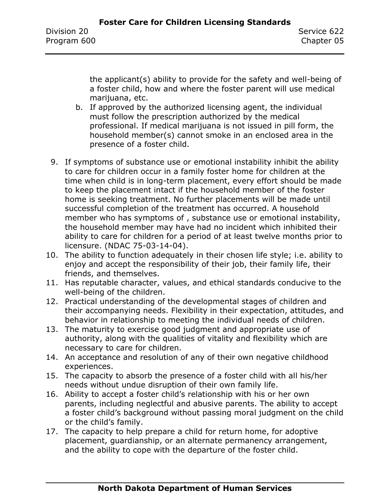the applicant(s) ability to provide for the safety and well-being of a foster child, how and where the foster parent will use medical marijuana, etc.

- b. If approved by the authorized licensing agent, the individual must follow the prescription authorized by the medical professional. If medical marijuana is not issued in pill form, the household member(s) cannot smoke in an enclosed area in the presence of a foster child.
- 9. If symptoms of substance use or emotional instability inhibit the ability to care for children occur in a family foster home for children at the time when child is in long-term placement, every effort should be made to keep the placement intact if the household member of the foster home is seeking treatment. No further placements will be made until successful completion of the treatment has occurred. A household member who has symptoms of , substance use or emotional instability, the household member may have had no incident which inhibited their ability to care for children for a period of at least twelve months prior to licensure. (NDAC 75-03-14-04).
- 10. The ability to function adequately in their chosen life style; i.e. ability to enjoy and accept the responsibility of their job, their family life, their friends, and themselves.
- 11. Has reputable character, values, and ethical standards conducive to the well-being of the children.
- 12. Practical understanding of the developmental stages of children and their accompanying needs. Flexibility in their expectation, attitudes, and behavior in relationship to meeting the individual needs of children.
- 13. The maturity to exercise good judgment and appropriate use of authority, along with the qualities of vitality and flexibility which are necessary to care for children.
- 14. An acceptance and resolution of any of their own negative childhood experiences.
- 15. The capacity to absorb the presence of a foster child with all his/her needs without undue disruption of their own family life.
- 16. Ability to accept a foster child's relationship with his or her own parents, including neglectful and abusive parents. The ability to accept a foster child's background without passing moral judgment on the child or the child's family.
- 17. The capacity to help prepare a child for return home, for adoptive placement, guardianship, or an alternate permanency arrangement, and the ability to cope with the departure of the foster child.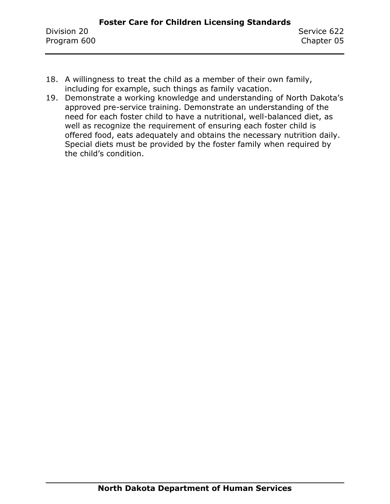- 18. A willingness to treat the child as a member of their own family, including for example, such things as family vacation.
- 19. Demonstrate a working knowledge and understanding of North Dakota's approved pre-service training. Demonstrate an understanding of the need for each foster child to have a nutritional, well-balanced diet, as well as recognize the requirement of ensuring each foster child is offered food, eats adequately and obtains the necessary nutrition daily. Special diets must be provided by the foster family when required by the child's condition.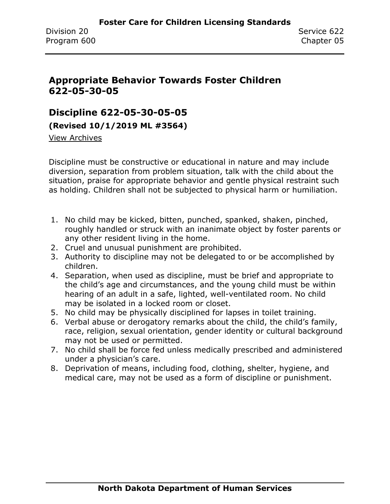## **Appropriate Behavior Towards Foster Children 622-05-30-05**

#### **Discipline 622-05-30-05-05**

**(Revised 10/1/2019 ML #3564)**

[View Archives](../../../Content/Archive%20Documents/archive.htm#622_05_30_05_05)

Discipline must be constructive or educational in nature and may include diversion, separation from problem situation, talk with the child about the situation, praise for appropriate behavior and gentle physical restraint such as holding. Children shall not be subjected to physical harm or humiliation.

- 1. No child may be kicked, bitten, punched, spanked, shaken, pinched, roughly handled or struck with an inanimate object by foster parents or any other resident living in the home.
- 2. Cruel and unusual punishment are prohibited.
- 3. Authority to discipline may not be delegated to or be accomplished by children.
- 4. Separation, when used as discipline, must be brief and appropriate to the child's age and circumstances, and the young child must be within hearing of an adult in a safe, lighted, well-ventilated room. No child may be isolated in a locked room or closet.
- 5. No child may be physically disciplined for lapses in toilet training.
- 6. Verbal abuse or derogatory remarks about the child, the child's family, race, religion, sexual orientation, gender identity or cultural background may not be used or permitted.
- 7. No child shall be force fed unless medically prescribed and administered under a physician's care.
- 8. Deprivation of means, including food, clothing, shelter, hygiene, and medical care, may not be used as a form of discipline or punishment.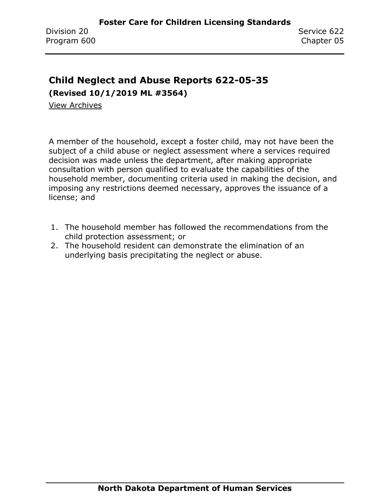# **Child Neglect and Abuse Reports 622-05-35**

**(Revised 10/1/2019 ML #3564)**

[View Archives](../../../Content/Archive%20Documents/archive.htm#622_05_35)

A member of the household, except a foster child, may not have been the subject of a child abuse or neglect assessment where a services required decision was made unless the department, after making appropriate consultation with person qualified to evaluate the capabilities of the household member, documenting criteria used in making the decision, and imposing any restrictions deemed necessary, approves the issuance of a license; and

- 1. The household member has followed the recommendations from the child protection assessment; or
- 2. The household resident can demonstrate the elimination of an underlying basis precipitating the neglect or abuse.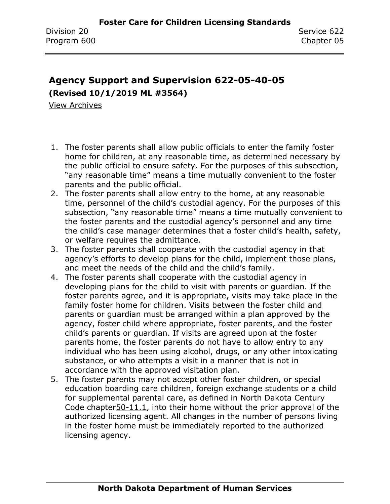# **Agency Support and Supervision 622-05-40-05 (Revised 10/1/2019 ML #3564)**

- 1. The foster parents shall allow public officials to enter the family foster home for children, at any reasonable time, as determined necessary by the public official to ensure safety. For the purposes of this subsection, "any reasonable time" means a time mutually convenient to the foster parents and the public official.
- 2. The foster parents shall allow entry to the home, at any reasonable time, personnel of the child's custodial agency. For the purposes of this subsection, "any reasonable time" means a time mutually convenient to the foster parents and the custodial agency's personnel and any time the child's case manager determines that a foster child's health, safety, or welfare requires the admittance.
- 3. The foster parents shall cooperate with the custodial agency in that agency's efforts to develop plans for the child, implement those plans, and meet the needs of the child and the child's family.
- 4. The foster parents shall cooperate with the custodial agency in developing plans for the child to visit with parents or guardian. If the foster parents agree, and it is appropriate, visits may take place in the family foster home for children. Visits between the foster child and parents or guardian must be arranged within a plan approved by the agency, foster child where appropriate, foster parents, and the foster child's parents or guardian. If visits are agreed upon at the foster parents home, the foster parents do not have to allow entry to any individual who has been using alcohol, drugs, or any other intoxicating substance, or who attempts a visit in a manner that is not in accordance with the approved visitation plan.
- 5. The foster parents may not accept other foster children, or special education boarding care children, foreign exchange students or a child for supplemental parental care, as defined in North Dakota Century Code chapter50-11.1, into their home without the prior approval of the authorized licensing agent. All changes in the number of persons living in the foster home must be immediately reported to the authorized licensing agency.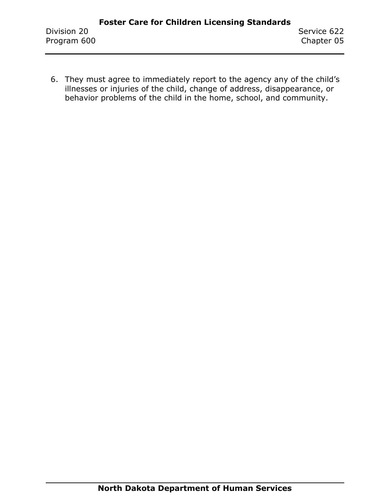6. They must agree to immediately report to the agency any of the child's illnesses or injuries of the child, change of address, disappearance, or behavior problems of the child in the home, school, and community.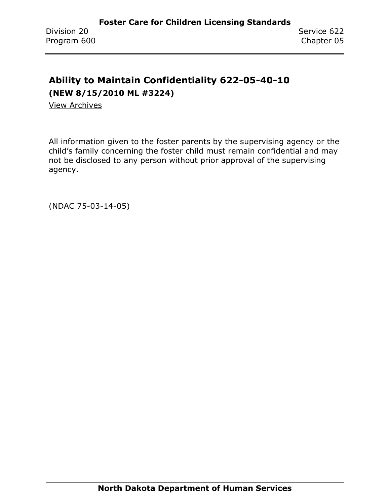# **Ability to Maintain Confidentiality 622-05-40-10 (NEW 8/15/2010 ML #3224)**

[View Archives](../../../Content/Archive%20Documents/archive.htm#622_05_40_10)

All information given to the foster parents by the supervising agency or the child's family concerning the foster child must remain confidential and may not be disclosed to any person without prior approval of the supervising agency.

(NDAC 75-03-14-05)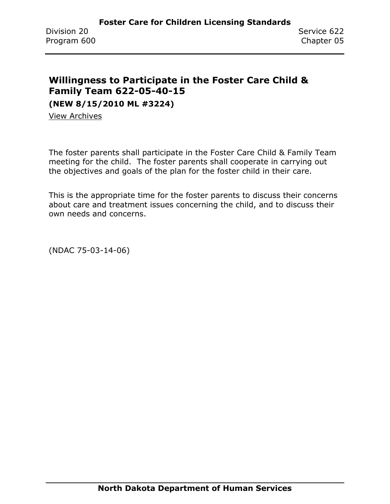## **Willingness to Participate in the Foster Care Child & Family Team 622-05-40-15**

**(NEW 8/15/2010 ML #3224)**

[View Archives](../../../Content/Archive%20Documents/archive.htm#622_05_40_15)

The foster parents shall participate in the Foster Care Child & Family Team meeting for the child. The foster parents shall cooperate in carrying out the objectives and goals of the plan for the foster child in their care.

This is the appropriate time for the foster parents to discuss their concerns about care and treatment issues concerning the child, and to discuss their own needs and concerns.

(NDAC 75-03-14-06)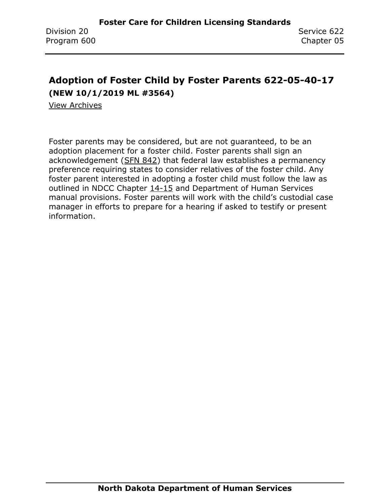# **Adoption of Foster Child by Foster Parents 622-05-40-17 (NEW 10/1/2019 ML #3564)**

[View Archives](../../../Content/Archive%20Documents/archive.htm#622_05_40_17)

Foster parents may be considered, but are not guaranteed, to be an adoption placement for a foster child. Foster parents shall sign an acknowledgement [\(SFN 842\)](https://www.nd.gov/eforms/Doc/sfn0842.pdf) that federal law establishes a permanency preference requiring states to consider relatives of the foster child. Any foster parent interested in adopting a foster child must follow the law as outlined in NDCC Chapter 14-15 and Department of Human Services manual provisions. Foster parents will work with the child's custodial case manager in efforts to prepare for a hearing if asked to testify or present information.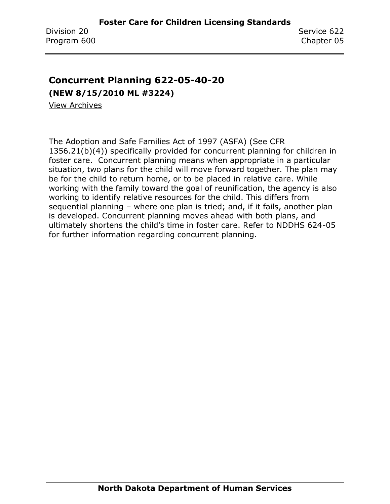### **Concurrent Planning 622-05-40-20**

**(NEW 8/15/2010 ML #3224)**

[View Archives](../../../Content/Archive%20Documents/archive.htm#622_05_40_20)

The Adoption and Safe Families Act of 1997 (ASFA) (See CFR 1356.21(b)(4)) specifically provided for concurrent planning for children in foster care. Concurrent planning means when appropriate in a particular situation, two plans for the child will move forward together. The plan may be for the child to return home, or to be placed in relative care. While working with the family toward the goal of reunification, the agency is also working to identify relative resources for the child. This differs from sequential planning – where one plan is tried; and, if it fails, another plan is developed. Concurrent planning moves ahead with both plans, and ultimately shortens the child's time in foster care. Refer to NDDHS 624-05 for further information regarding concurrent planning.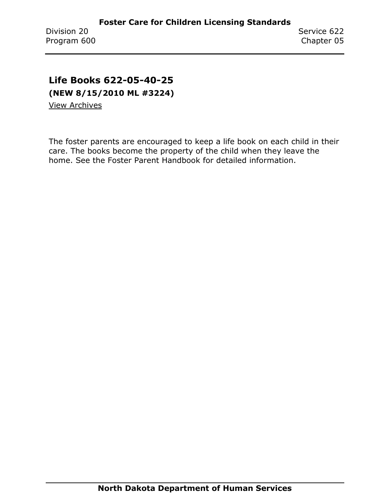# **Life Books 622-05-40-25**

**(NEW 8/15/2010 ML #3224)**

[View Archives](../../../Content/Archive%20Documents/archive.htm#622_05_40_25)

The foster parents are encouraged to keep a life book on each child in their care. The books become the property of the child when they leave the home. See the Foster Parent Handbook for detailed information.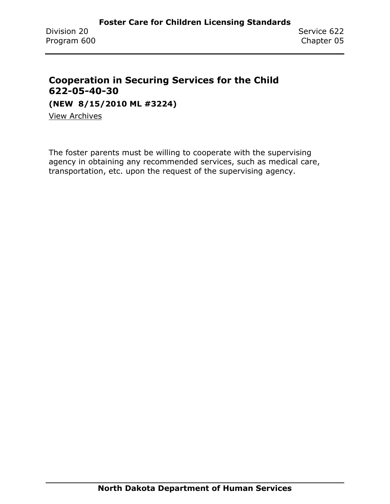### **Cooperation in Securing Services for the Child 622-05-40-30**

**(NEW 8/15/2010 ML #3224)**

[View Archives](../../../Content/Archive%20Documents/archive.htm#622_05_40_30)

The foster parents must be willing to cooperate with the supervising agency in obtaining any recommended services, such as medical care, transportation, etc. upon the request of the supervising agency.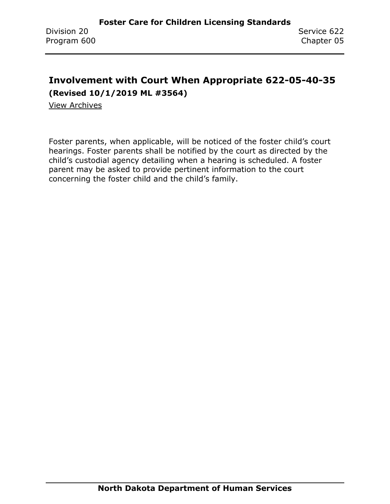# **Involvement with Court When Appropriate 622-05-40-35 (Revised 10/1/2019 ML #3564)**

[View Archives](../../../Content/Archive%20Documents/archive.htm#622_05_40_35)

Foster parents, when applicable, will be noticed of the foster child's court hearings. Foster parents shall be notified by the court as directed by the child's custodial agency detailing when a hearing is scheduled. A foster parent may be asked to provide pertinent information to the court concerning the foster child and the child's family.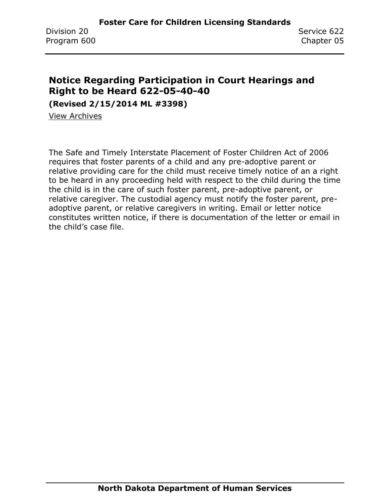### **Notice Regarding Participation in Court Hearings and Right to be Heard 622-05-40-40**

**(Revised 2/15/2014 ML #3398)**

[View Archives](../../../Content/Archive%20Documents/archive.htm#622_05_40_40)

The Safe and Timely Interstate Placement of Foster Children Act of 2006 requires that foster parents of a child and any pre-adoptive parent or relative providing care for the child must receive timely notice of an a right to be heard in any proceeding held with respect to the child during the time the child is in the care of such foster parent, pre-adoptive parent, or relative caregiver. The custodial agency must notify the foster parent, preadoptive parent, or relative caregivers in writing. Email or letter notice constitutes written notice, if there is documentation of the letter or email in the child's case file.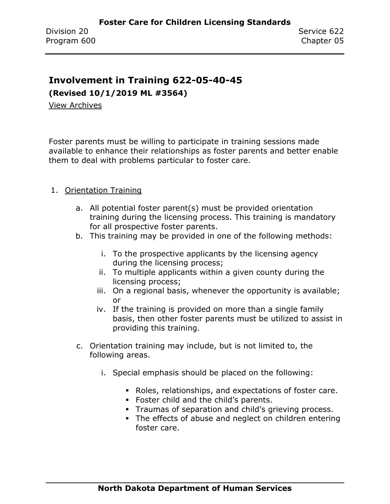#### **Involvement in Training 622-05-40-45**

**(Revised 10/1/2019 ML #3564)**

[View Archives](../../../Content/Archive%20Documents/archive.htm#622_05_40_45)

Foster parents must be willing to participate in training sessions made available to enhance their relationships as foster parents and better enable them to deal with problems particular to foster care.

#### 1. Orientation Training

- a. All potential foster parent(s) must be provided orientation training during the licensing process. This training is mandatory for all prospective foster parents.
- b. This training may be provided in one of the following methods:
	- i. To the prospective applicants by the licensing agency during the licensing process;
	- ii. To multiple applicants within a given county during the licensing process;
	- iii. On a regional basis, whenever the opportunity is available; or
	- iv. If the training is provided on more than a single family basis, then other foster parents must be utilized to assist in providing this training.
- c. Orientation training may include, but is not limited to, the following areas.
	- i. Special emphasis should be placed on the following:
		- Roles, relationships, and expectations of foster care.
		- Foster child and the child's parents.
		- **Traumas of separation and child's grieving process.**
		- The effects of abuse and neglect on children entering foster care.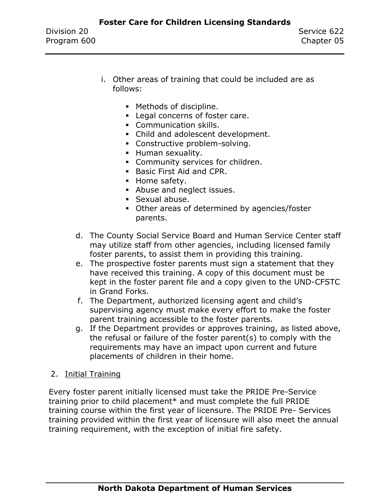- i. Other areas of training that could be included are as follows:
	- Methods of discipline.
	- Legal concerns of foster care.
	- **Communication skills.**
	- Child and adolescent development.
	- Constructive problem-solving.
	- **E** Human sexuality.
	- **Community services for children.**
	- Basic First Aid and CPR.
	- Home safety.
	- Abuse and neglect issues.
	- Sexual abuse.
	- Other areas of determined by agencies/foster parents.
- d. The County Social Service Board and Human Service Center staff may utilize staff from other agencies, including licensed family foster parents, to assist them in providing this training.
- e. The prospective foster parents must sign a statement that they have received this training. A copy of this document must be kept in the foster parent file and a copy given to the UND-CFSTC in Grand Forks.
- f. The Department, authorized licensing agent and child's supervising agency must make every effort to make the foster parent training accessible to the foster parents.
- g. If the Department provides or approves training, as listed above, the refusal or failure of the foster parent(s) to comply with the requirements may have an impact upon current and future placements of children in their home.
- 2. Initial Training

Every foster parent initially licensed must take the PRIDE Pre-Service training prior to child placement\* and must complete the full PRIDE training course within the first year of licensure. The PRIDE Pre- Services training provided within the first year of licensure will also meet the annual training requirement, with the exception of initial fire safety.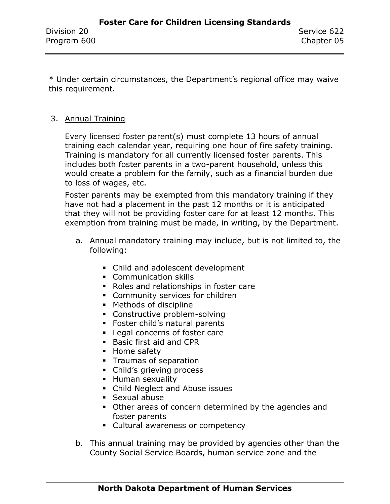\* Under certain circumstances, the Department's regional office may waive this requirement.

#### 3. Annual Training

Every licensed foster parent(s) must complete 13 hours of annual training each calendar year, requiring one hour of fire safety training. Training is mandatory for all currently licensed foster parents. This includes both foster parents in a two-parent household, unless this would create a problem for the family, such as a financial burden due to loss of wages, etc.

Foster parents may be exempted from this mandatory training if they have not had a placement in the past 12 months or it is anticipated that they will not be providing foster care for at least 12 months. This exemption from training must be made, in writing, by the Department.

- a. Annual mandatory training may include, but is not limited to, the following:
	- Child and adolescent development
	- Communication skills
	- Roles and relationships in foster care
	- **Community services for children**
	- Methods of discipline
	- Constructive problem-solving
	- **EXECTE:** Foster child's natural parents
	- **EXEC** Legal concerns of foster care
	- **Basic first aid and CPR**
	- Home safety
	- **•** Traumas of separation
	- **•** Child's grieving process
	- **E** Human sexuality
	- **Child Neglect and Abuse issues**
	- Sexual abuse
	- Other areas of concern determined by the agencies and foster parents
	- **EXECUTE:** Cultural awareness or competency
- b. This annual training may be provided by agencies other than the County Social Service Boards, human service zone and the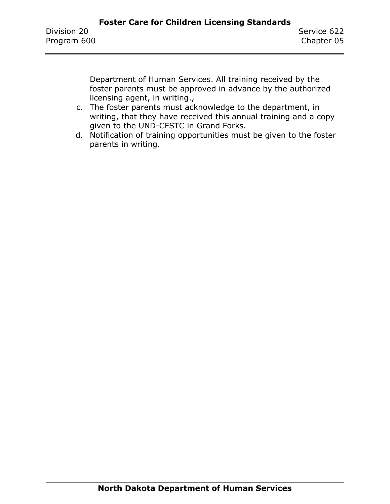Department of Human Services. All training received by the foster parents must be approved in advance by the authorized licensing agent, in writing.,

- c. The foster parents must acknowledge to the department, in writing, that they have received this annual training and a copy given to the UND-CFSTC in Grand Forks.
- d. Notification of training opportunities must be given to the foster parents in writing.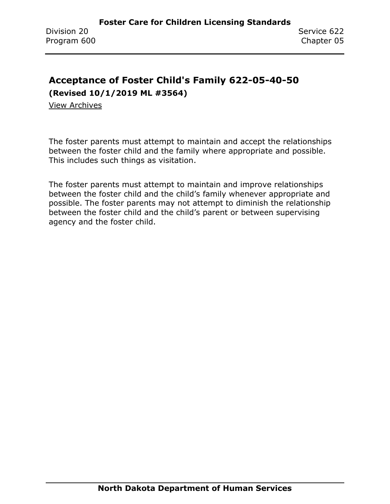# **Acceptance of Foster Child's Family 622-05-40-50**

**(Revised 10/1/2019 ML #3564)**

[View Archives](../../../Content/Archive%20Documents/archive.htm#622_05_40_50)

The foster parents must attempt to maintain and accept the relationships between the foster child and the family where appropriate and possible. This includes such things as visitation.

The foster parents must attempt to maintain and improve relationships between the foster child and the child's family whenever appropriate and possible. The foster parents may not attempt to diminish the relationship between the foster child and the child's parent or between supervising agency and the foster child.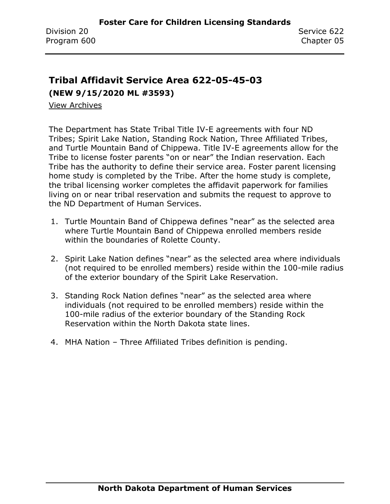# **Tribal Affidavit Service Area 622-05-45-03 (NEW 9/15/2020 ML #3593)**

[View Archives](../../../Content/Archive%20Documents/archive.htm#622_05_45_03)

The Department has State Tribal Title IV-E agreements with four ND Tribes; Spirit Lake Nation, Standing Rock Nation, Three Affiliated Tribes, and Turtle Mountain Band of Chippewa. Title IV-E agreements allow for the Tribe to license foster parents "on or near" the Indian reservation. Each Tribe has the authority to define their service area. Foster parent licensing home study is completed by the Tribe. After the home study is complete, the tribal licensing worker completes the affidavit paperwork for families living on or near tribal reservation and submits the request to approve to the ND Department of Human Services.

- 1. Turtle Mountain Band of Chippewa defines "near" as the selected area where Turtle Mountain Band of Chippewa enrolled members reside within the boundaries of Rolette County.
- 2. Spirit Lake Nation defines "near" as the selected area where individuals (not required to be enrolled members) reside within the 100-mile radius of the exterior boundary of the Spirit Lake Reservation.
- 3. Standing Rock Nation defines "near" as the selected area where individuals (not required to be enrolled members) reside within the 100-mile radius of the exterior boundary of the Standing Rock Reservation within the North Dakota state lines.
- 4. MHA Nation Three Affiliated Tribes definition is pending.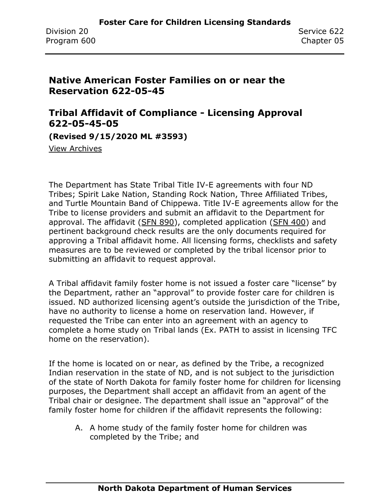### **Native American Foster Families on or near the Reservation 622-05-45**

#### **Tribal Affidavit of Compliance - Licensing Approval 622-05-45-05**

**(Revised 9/15/2020 ML #3593)**

[View Archives](../../../Content/Archive%20Documents/archive.htm#622_05_45_05)

The Department has State Tribal Title IV-E agreements with four ND Tribes; Spirit Lake Nation, Standing Rock Nation, Three Affiliated Tribes, and Turtle Mountain Band of Chippewa. Title IV-E agreements allow for the Tribe to license providers and submit an affidavit to the Department for approval. The affidavit [\(SFN 890\)](https://www.nd.gov/eforms/Doc/sfn0890.pdf), completed application [\(SFN 400\)](https://www.nd.gov/eforms/Doc/sfn00400.pdf) and pertinent background check results are the only documents required for approving a Tribal affidavit home. All licensing forms, checklists and safety measures are to be reviewed or completed by the tribal licensor prior to submitting an affidavit to request approval.

A Tribal affidavit family foster home is not issued a foster care "license" by the Department, rather an "approval" to provide foster care for children is issued. ND authorized licensing agent's outside the jurisdiction of the Tribe, have no authority to license a home on reservation land. However, if requested the Tribe can enter into an agreement with an agency to complete a home study on Tribal lands (Ex. PATH to assist in licensing TFC home on the reservation).

If the home is located on or near, as defined by the Tribe, a recognized Indian reservation in the state of ND, and is not subject to the jurisdiction of the state of North Dakota for family foster home for children for licensing purposes, the Department shall accept an affidavit from an agent of the Tribal chair or designee. The department shall issue an "approval" of the family foster home for children if the affidavit represents the following:

A. A home study of the family foster home for children was completed by the Tribe; and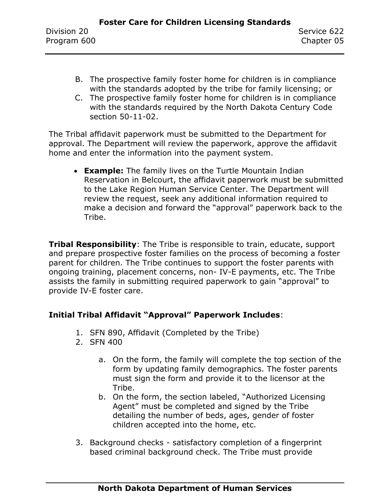- B. The prospective family foster home for children is in compliance with the standards adopted by the tribe for family licensing; or
- C. The prospective family foster home for children is in compliance with the standards required by the North Dakota Century Code section 50-11-02.

The Tribal affidavit paperwork must be submitted to the Department for approval. The Department will review the paperwork, approve the affidavit home and enter the information into the payment system.

• **Example:** The family lives on the Turtle Mountain Indian Reservation in Belcourt, the affidavit paperwork must be submitted to the Lake Region Human Service Center. The Department will review the request, seek any additional information required to make a decision and forward the "approval" paperwork back to the Tribe.

**Tribal Responsibility**: The Tribe is responsible to train, educate, support and prepare prospective foster families on the process of becoming a foster parent for children. The Tribe continues to support the foster parents with ongoing training, placement concerns, non- IV-E payments, etc. The Tribe assists the family in submitting required paperwork to gain "approval" to provide IV-E foster care.

#### **Initial Tribal Affidavit "Approval" Paperwork Includes**:

- 1. SFN 890, Affidavit (Completed by the Tribe)
- 2. SFN 400
	- a. On the form, the family will complete the top section of the form by updating family demographics. The foster parents must sign the form and provide it to the licensor at the Tribe.
	- b. On the form, the section labeled, "Authorized Licensing Agent" must be completed and signed by the Tribe detailing the number of beds, ages, gender of foster children accepted into the home, etc.
- 3. Background checks satisfactory completion of a fingerprint based criminal background check. The Tribe must provide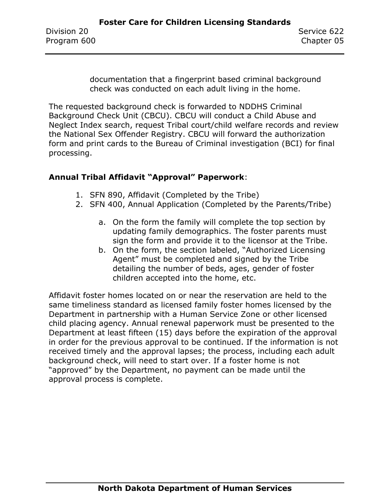documentation that a fingerprint based criminal background check was conducted on each adult living in the home.

The requested background check is forwarded to NDDHS Criminal Background Check Unit (CBCU). CBCU will conduct a Child Abuse and Neglect Index search, request Tribal court/child welfare records and review the National Sex Offender Registry. CBCU will forward the authorization form and print cards to the Bureau of Criminal investigation (BCI) for final processing.

#### **Annual Tribal Affidavit "Approval" Paperwork**:

- 1. SFN 890, Affidavit (Completed by the Tribe)
- 2. SFN 400, Annual Application (Completed by the Parents/Tribe)
	- a. On the form the family will complete the top section by updating family demographics. The foster parents must sign the form and provide it to the licensor at the Tribe.
	- b. On the form, the section labeled, "Authorized Licensing Agent" must be completed and signed by the Tribe detailing the number of beds, ages, gender of foster children accepted into the home, etc.

Affidavit foster homes located on or near the reservation are held to the same timeliness standard as licensed family foster homes licensed by the Department in partnership with a Human Service Zone or other licensed child placing agency. Annual renewal paperwork must be presented to the Department at least fifteen (15) days before the expiration of the approval in order for the previous approval to be continued. If the information is not received timely and the approval lapses; the process, including each adult background check, will need to start over. If a foster home is not "approved" by the Department, no payment can be made until the approval process is complete.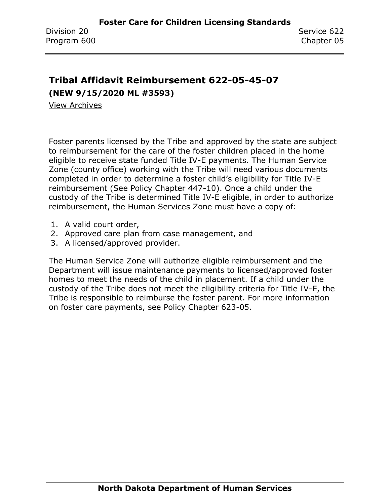# **Tribal Affidavit Reimbursement 622-05-45-07 (NEW 9/15/2020 ML #3593)**

[View Archives](../../../Content/Archive%20Documents/archive.htm#622_05_45_05)

Foster parents licensed by the Tribe and approved by the state are subject to reimbursement for the care of the foster children placed in the home eligible to receive state funded Title IV-E payments. The Human Service Zone (county office) working with the Tribe will need various documents completed in order to determine a foster child's eligibility for Title IV-E reimbursement (See Policy Chapter 447-10). Once a child under the custody of the Tribe is determined Title IV-E eligible, in order to authorize reimbursement, the Human Services Zone must have a copy of:

- 1. A valid court order,
- 2. Approved care plan from case management, and
- 3. A licensed/approved provider.

The Human Service Zone will authorize eligible reimbursement and the Department will issue maintenance payments to licensed/approved foster homes to meet the needs of the child in placement. If a child under the custody of the Tribe does not meet the eligibility criteria for Title IV-E, the Tribe is responsible to reimburse the foster parent. For more information on foster care payments, see Policy Chapter 623-05.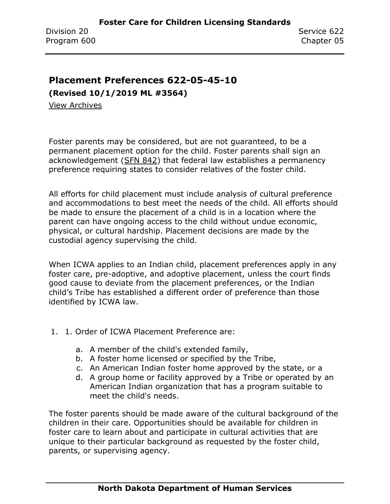#### **Placement Preferences 622-05-45-10**

**(Revised 10/1/2019 ML #3564)**

[View Archives](../../../Content/Archive%20Documents/archive.htm#622_05_45_10)

Foster parents may be considered, but are not guaranteed, to be a permanent placement option for the child. Foster parents shall sign an acknowledgement [\(SFN 842\)](https://www.nd.gov/eforms/Doc/sfn00842.pdf) that federal law establishes a permanency preference requiring states to consider relatives of the foster child.

All efforts for child placement must include analysis of cultural preference and accommodations to best meet the needs of the child. All efforts should be made to ensure the placement of a child is in a location where the parent can have ongoing access to the child without undue economic, physical, or cultural hardship. Placement decisions are made by the custodial agency supervising the child.

When ICWA applies to an Indian child, placement preferences apply in any foster care, pre-adoptive, and adoptive placement, unless the court finds good cause to deviate from the placement preferences, or the Indian child's Tribe has established a different order of preference than those identified by ICWA law.

- 1. 1. Order of ICWA Placement Preference are:
	- a. A member of the child's extended family,
	- b. A foster home licensed or specified by the Tribe,
	- c. An American Indian foster home approved by the state, or a
	- d. A group home or facility approved by a Tribe or operated by an American Indian organization that has a program suitable to meet the child's needs.

The foster parents should be made aware of the cultural background of the children in their care. Opportunities should be available for children in foster care to learn about and participate in cultural activities that are unique to their particular background as requested by the foster child, parents, or supervising agency.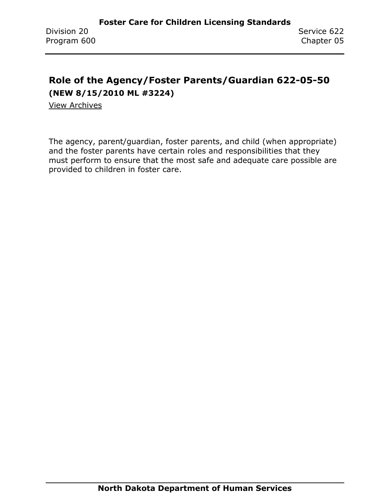# **Role of the Agency/Foster Parents/Guardian 622-05-50 (NEW 8/15/2010 ML #3224)**

[View Archives](../../../Content/Archive%20Documents/archive.htm#622_05_50)

The agency, parent/guardian, foster parents, and child (when appropriate) and the foster parents have certain roles and responsibilities that they must perform to ensure that the most safe and adequate care possible are provided to children in foster care.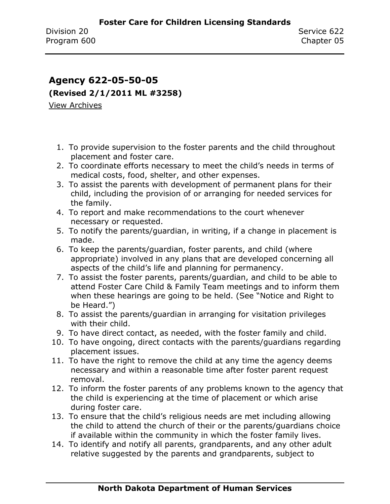# **Agency 622-05-50-05 (Revised 2/1/2011 ML #3258)** [View Archives](../../../Content/Archive%20Documents/archive.htm#622_05_50_05)

- 1. To provide supervision to the foster parents and the child throughout placement and foster care.
- 2. To coordinate efforts necessary to meet the child's needs in terms of medical costs, food, shelter, and other expenses.
- 3. To assist the parents with development of permanent plans for their child, including the provision of or arranging for needed services for the family.
- 4. To report and make recommendations to the court whenever necessary or requested.
- 5. To notify the parents/guardian, in writing, if a change in placement is made.
- 6. To keep the parents/guardian, foster parents, and child (where appropriate) involved in any plans that are developed concerning all aspects of the child's life and planning for permanency.
- 7. To assist the foster parents, parents/guardian, and child to be able to attend Foster Care Child & Family Team meetings and to inform them when these hearings are going to be held. (See "Notice and Right to be Heard.")
- 8. To assist the parents/guardian in arranging for visitation privileges with their child.
- 9. To have direct contact, as needed, with the foster family and child.
- 10. To have ongoing, direct contacts with the parents/guardians regarding placement issues.
- 11. To have the right to remove the child at any time the agency deems necessary and within a reasonable time after foster parent request removal.
- 12. To inform the foster parents of any problems known to the agency that the child is experiencing at the time of placement or which arise during foster care.
- 13. To ensure that the child's religious needs are met including allowing the child to attend the church of their or the parents/guardians choice if available within the community in which the foster family lives.
- 14. To identify and notify all parents, grandparents, and any other adult relative suggested by the parents and grandparents, subject to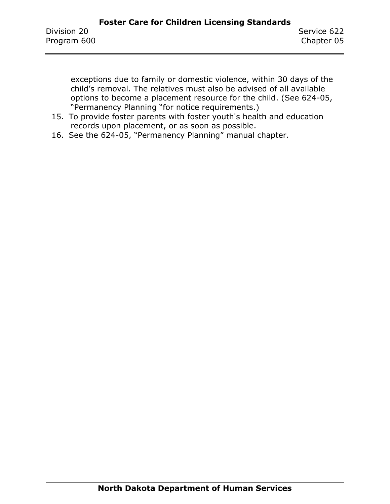exceptions due to family or domestic violence, within 30 days of the child's removal. The relatives must also be advised of all available options to become a placement resource for the child. (See 624-05, "Permanency Planning "for notice requirements.)

- 15. To provide foster parents with foster youth's health and education records upon placement, or as soon as possible.
- 16. See the 624-05, "Permanency Planning" manual chapter.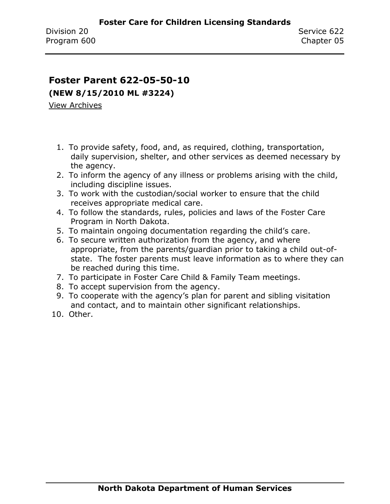#### **Foster Parent 622-05-50-10**

**(NEW 8/15/2010 ML #3224)**

- 1. To provide safety, food, and, as required, clothing, transportation, daily supervision, shelter, and other services as deemed necessary by the agency.
- 2. To inform the agency of any illness or problems arising with the child, including discipline issues.
- 3. To work with the custodian/social worker to ensure that the child receives appropriate medical care.
- 4. To follow the standards, rules, policies and laws of the Foster Care Program in North Dakota.
- 5. To maintain ongoing documentation regarding the child's care.
- 6. To secure written authorization from the agency, and where appropriate, from the parents/guardian prior to taking a child out-ofstate. The foster parents must leave information as to where they can be reached during this time.
- 7. To participate in Foster Care Child & Family Team meetings.
- 8. To accept supervision from the agency.
- 9. To cooperate with the agency's plan for parent and sibling visitation and contact, and to maintain other significant relationships.
- 10. Other.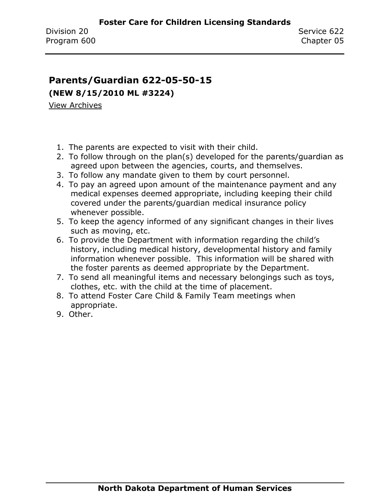#### **Parents/Guardian 622-05-50-15**

**(NEW 8/15/2010 ML #3224)**

- 1. The parents are expected to visit with their child.
- 2. To follow through on the plan(s) developed for the parents/guardian as agreed upon between the agencies, courts, and themselves.
- 3. To follow any mandate given to them by court personnel.
- 4. To pay an agreed upon amount of the maintenance payment and any medical expenses deemed appropriate, including keeping their child covered under the parents/guardian medical insurance policy whenever possible.
- 5. To keep the agency informed of any significant changes in their lives such as moving, etc.
- 6. To provide the Department with information regarding the child's history, including medical history, developmental history and family information whenever possible. This information will be shared with the foster parents as deemed appropriate by the Department.
- 7. To send all meaningful items and necessary belongings such as toys, clothes, etc. with the child at the time of placement.
- 8. To attend Foster Care Child & Family Team meetings when appropriate.
- 9. Other.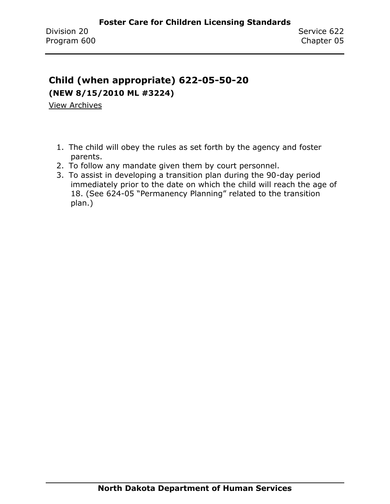# **Child (when appropriate) 622-05-50-20 (NEW 8/15/2010 ML #3224)**

- 1. The child will obey the rules as set forth by the agency and foster parents.
- 2. To follow any mandate given them by court personnel.
- 3. To assist in developing a transition plan during the 90-day period immediately prior to the date on which the child will reach the age of 18. (See 624-05 "Permanency Planning" related to the transition plan.)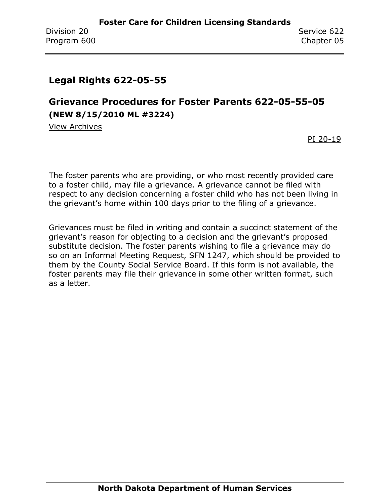# **Legal Rights 622-05-55**

# **Grievance Procedures for Foster Parents 622-05-55-05 (NEW 8/15/2010 ML #3224)**

[View Archives](../../../Content/Archive%20Documents/archive.htm#622_05_55_05)

[PI 20-19](../../../Content/PI/PI%2020-19%20-%20Foster%20Parent%20Grievance.pdf)

The foster parents who are providing, or who most recently provided care to a foster child, may file a grievance. A grievance cannot be filed with respect to any decision concerning a foster child who has not been living in the grievant's home within 100 days prior to the filing of a grievance.

Grievances must be filed in writing and contain a succinct statement of the grievant's reason for objecting to a decision and the grievant's proposed substitute decision. The foster parents wishing to file a grievance may do so on an Informal Meeting Request, SFN 1247, which should be provided to them by the County Social Service Board. If this form is not available, the foster parents may file their grievance in some other written format, such as a letter.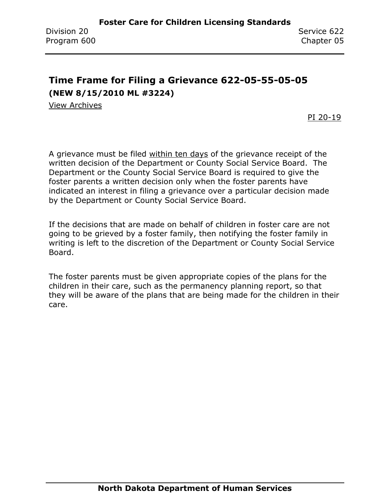# **Time Frame for Filing a Grievance 622-05-55-05-05 (NEW 8/15/2010 ML #3224)**

[View Archives](../../../Content/Archive%20Documents/archive.htm#622_05_55_05_05)

PI [20-19](../../../Content/PI/PI%2020-19%20-%20Foster%20Parent%20Grievance.pdf)

A grievance must be filed within ten days of the grievance receipt of the written decision of the Department or County Social Service Board. The Department or the County Social Service Board is required to give the foster parents a written decision only when the foster parents have indicated an interest in filing a grievance over a particular decision made by the Department or County Social Service Board.

If the decisions that are made on behalf of children in foster care are not going to be grieved by a foster family, then notifying the foster family in writing is left to the discretion of the Department or County Social Service Board.

The foster parents must be given appropriate copies of the plans for the children in their care, such as the permanency planning report, so that they will be aware of the plans that are being made for the children in their care.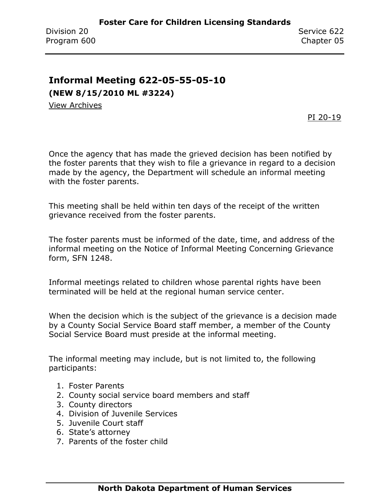# **Informal Meeting 622-05-55-05-10**

**(NEW 8/15/2010 ML #3224)**

[View Archives](../../../Content/Archive%20Documents/archive.htm#622_05_55_05_10)

PI [20-19](../../../Content/PI/PI%2020-19%20-%20Foster%20Parent%20Grievance.pdf)

Once the agency that has made the grieved decision has been notified by the foster parents that they wish to file a grievance in regard to a decision made by the agency, the Department will schedule an informal meeting with the foster parents.

This meeting shall be held within ten days of the receipt of the written grievance received from the foster parents.

The foster parents must be informed of the date, time, and address of the informal meeting on the Notice of Informal Meeting Concerning Grievance form, SFN 1248.

Informal meetings related to children whose parental rights have been terminated will be held at the regional human service center.

When the decision which is the subject of the grievance is a decision made by a County Social Service Board staff member, a member of the County Social Service Board must preside at the informal meeting.

The informal meeting may include, but is not limited to, the following participants:

- 1. Foster Parents
- 2. County social service board members and staff
- 3. County directors
- 4. Division of Juvenile Services
- 5. Juvenile Court staff
- 6. State's attorney
- 7. Parents of the foster child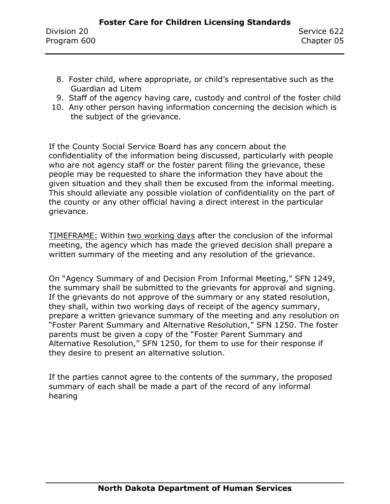- 8. Foster child, where appropriate, or child's representative such as the Guardian ad Litem
- 9. Staff of the agency having care, custody and control of the foster child
- 10. Any other person having information concerning the decision which is the subject of the grievance.

If the County Social Service Board has any concern about the confidentiality of the information being discussed, particularly with people who are not agency staff or the foster parent filing the grievance, these people may be requested to share the information they have about the given situation and they shall then be excused from the informal meeting. This should alleviate any possible violation of confidentiality on the part of the county or any other official having a direct interest in the particular grievance.

TIMEFRAME: Within two working days after the conclusion of the informal meeting, the agency which has made the grieved decision shall prepare a written summary of the meeting and any resolution of the grievance.

On "Agency Summary of and Decision From Informal Meeting," SFN 1249, the summary shall be submitted to the grievants for approval and signing. If the grievants do not approve of the summary or any stated resolution, they shall, within two working days of receipt of the agency summary, prepare a written grievance summary of the meeting and any resolution on "Foster Parent Summary and Alternative Resolution," SFN 1250. The foster parents must be given a copy of the "Foster Parent Summary and Alternative Resolution," SFN 1250, for them to use for their response if they desire to present an alternative solution.

If the parties cannot agree to the contents of the summary, the proposed summary of each shall be made a part of the record of any informal hearing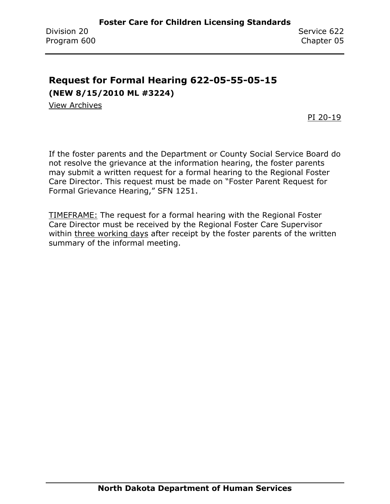# **Request for Formal Hearing 622-05-55-05-15 (NEW 8/15/2010 ML #3224)**

[View Archives](../../../Content/Archive%20Documents/archive.htm#622_05_55_05_15)

PI [20-19](../../../Content/PI/PI%2020-19%20-%20Foster%20Parent%20Grievance.pdf)

If the foster parents and the Department or County Social Service Board do not resolve the grievance at the information hearing, the foster parents may submit a written request for a formal hearing to the Regional Foster Care Director. This request must be made on "Foster Parent Request for Formal Grievance Hearing," SFN 1251.

TIMEFRAME: The request for a formal hearing with the Regional Foster Care Director must be received by the Regional Foster Care Supervisor within three working days after receipt by the foster parents of the written summary of the informal meeting.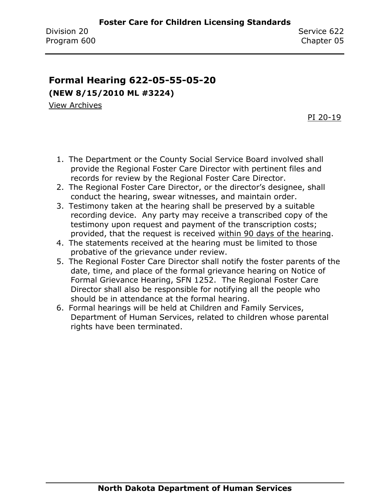## **Formal Hearing 622-05-55-05-20 (NEW 8/15/2010 ML #3224)**

[View Archives](../../../Content/Archive%20Documents/archive.htm#622_05_55_05_20)

PI [20-19](../../../Content/PI/PI%2020-19%20-%20Foster%20Parent%20Grievance.pdf)

- 1. The Department or the County Social Service Board involved shall provide the Regional Foster Care Director with pertinent files and records for review by the Regional Foster Care Director.
- 2. The Regional Foster Care Director, or the director's designee, shall conduct the hearing, swear witnesses, and maintain order.
- 3. Testimony taken at the hearing shall be preserved by a suitable recording device. Any party may receive a transcribed copy of the testimony upon request and payment of the transcription costs; provided, that the request is received within 90 days of the hearing.
- 4. The statements received at the hearing must be limited to those probative of the grievance under review.
- 5. The Regional Foster Care Director shall notify the foster parents of the date, time, and place of the formal grievance hearing on Notice of Formal Grievance Hearing, SFN 1252. The Regional Foster Care Director shall also be responsible for notifying all the people who should be in attendance at the formal hearing.
- 6. Formal hearings will be held at Children and Family Services, Department of Human Services, related to children whose parental rights have been terminated.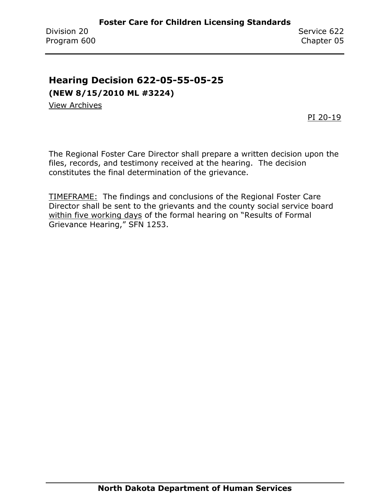# **Hearing Decision 622-05-55-05-25**

**(NEW 8/15/2010 ML #3224)**

[View Archives](../../../Content/Archive%20Documents/archive.htm#650_05_55_05_25)

PI [20-19](../../../Content/PI/PI%2020-19%20-%20Foster%20Parent%20Grievance.pdf)

The Regional Foster Care Director shall prepare a written decision upon the files, records, and testimony received at the hearing. The decision constitutes the final determination of the grievance.

TIMEFRAME: The findings and conclusions of the Regional Foster Care Director shall be sent to the grievants and the county social service board within five working days of the formal hearing on "Results of Formal Grievance Hearing," SFN 1253.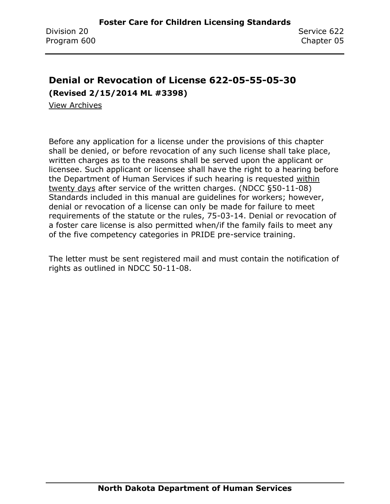# **Denial or Revocation of License 622-05-55-05-30**

**(Revised 2/15/2014 ML #3398)**

[View Archives](../../../Content/Archive%20Documents/archive.htm#622_05_55_05_30)

Before any application for a license under the provisions of this chapter shall be denied, or before revocation of any such license shall take place, written charges as to the reasons shall be served upon the applicant or licensee. Such applicant or licensee shall have the right to a hearing before the Department of Human Services if such hearing is requested within twenty days after service of the written charges. (NDCC §50-11-08) Standards included in this manual are guidelines for workers; however, denial or revocation of a license can only be made for failure to meet requirements of the statute or the rules, 75-03-14. Denial or revocation of a foster care license is also permitted when/if the family fails to meet any of the five competency categories in PRIDE pre-service training.

The letter must be sent registered mail and must contain the notification of rights as outlined in NDCC 50-11-08.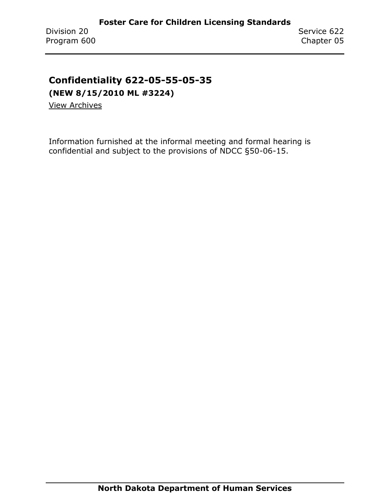### **Confidentiality 622-05-55-05-35**

**(NEW 8/15/2010 ML #3224)**

[View Archives](../../../Content/Archive%20Documents/archive.htm#622_05_55_05_35)

Information furnished at the informal meeting and formal hearing is confidential and subject to the provisions of NDCC §50-06-15.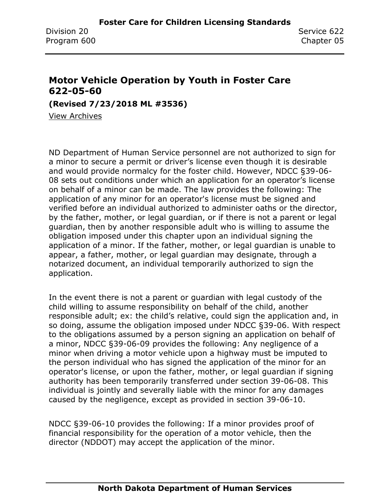#### **Motor Vehicle Operation by Youth in Foster Care 622-05-60**

**(Revised 7/23/2018 ML #3536)**

[View Archives](../../../Content/Archive%20Documents/archive.htm#622_05_60)

ND Department of Human Service personnel are not authorized to sign for a minor to secure a permit or driver's license even though it is desirable and would provide normalcy for the foster child. However, NDCC §39-06- 08 sets out conditions under which an application for an operator's license on behalf of a minor can be made. The law provides the following: The application of any minor for an operator's license must be signed and verified before an individual authorized to administer oaths or the director, by the father, mother, or legal guardian, or if there is not a parent or legal guardian, then by another responsible adult who is willing to assume the obligation imposed under this chapter upon an individual signing the application of a minor. If the father, mother, or legal guardian is unable to appear, a father, mother, or legal guardian may designate, through a notarized document, an individual temporarily authorized to sign the application.

In the event there is not a parent or guardian with legal custody of the child willing to assume responsibility on behalf of the child, another responsible adult; ex: the child's relative, could sign the application and, in so doing, assume the obligation imposed under NDCC §39-06. With respect to the obligations assumed by a person signing an application on behalf of a minor, NDCC §39-06-09 provides the following: Any negligence of a minor when driving a motor vehicle upon a highway must be imputed to the person individual who has signed the application of the minor for an operator's license, or upon the father, mother, or legal guardian if signing authority has been temporarily transferred under section 39-06-08. This individual is jointly and severally liable with the minor for any damages caused by the negligence, except as provided in section 39-06-10.

NDCC §39-06-10 provides the following: If a minor provides proof of financial responsibility for the operation of a motor vehicle, then the director (NDDOT) may accept the application of the minor.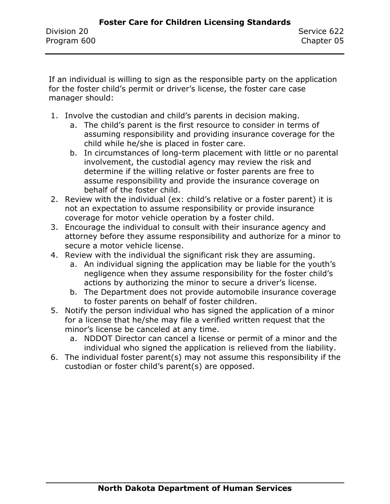If an individual is willing to sign as the responsible party on the application for the foster child's permit or driver's license, the foster care case manager should:

- 1. Involve the custodian and child's parents in decision making.
	- a. The child's parent is the first resource to consider in terms of assuming responsibility and providing insurance coverage for the child while he/she is placed in foster care.
	- b. In circumstances of long-term placement with little or no parental involvement, the custodial agency may review the risk and determine if the willing relative or foster parents are free to assume responsibility and provide the insurance coverage on behalf of the foster child.
- 2. Review with the individual (ex: child's relative or a foster parent) it is not an expectation to assume responsibility or provide insurance coverage for motor vehicle operation by a foster child.
- 3. Encourage the individual to consult with their insurance agency and attorney before they assume responsibility and authorize for a minor to secure a motor vehicle license.
- 4. Review with the individual the significant risk they are assuming.
	- a. An individual signing the application may be liable for the youth's negligence when they assume responsibility for the foster child's actions by authorizing the minor to secure a driver's license.
	- b. The Department does not provide automobile insurance coverage to foster parents on behalf of foster children.
- 5. Notify the person individual who has signed the application of a minor for a license that he/she may file a verified written request that the minor's license be canceled at any time.
	- a. NDDOT Director can cancel a license or permit of a minor and the individual who signed the application is relieved from the liability.
- 6. The individual foster parent(s) may not assume this responsibility if the custodian or foster child's parent(s) are opposed.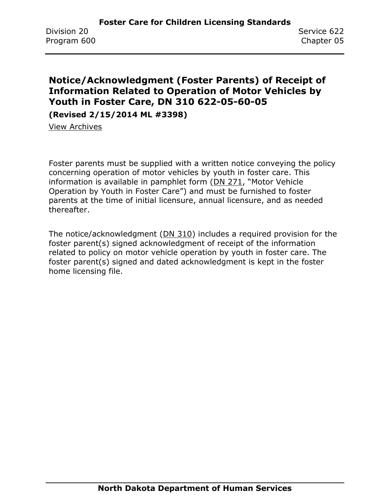#### **Notice/Acknowledgment (Foster Parents) of Receipt of Information Related to Operation of Motor Vehicles by Youth in Foster Care, DN 310 622-05-60-05**

**(Revised 2/15/2014 ML #3398)**

[View Archives](../../../Content/Archive%20Documents/archive.htm#622_05_60_05)

Foster parents must be supplied with a written notice conveying the policy concerning operation of motor vehicles by youth in foster care. This information is available in pamphlet form [\(DN 271](https://www.nd.gov/dhs/info/pubs/docs/cfs/brochure-foster-care-driving.pdf), "Motor Vehicle Operation by Youth in Foster Care") and must be furnished to foster parents at the time of initial licensure, annual licensure, and as needed thereafter.

The notice/acknowledgment [\(DN 310\)](../../../Content/Attachments/DN%20310.pdf) includes a required provision for the foster parent(s) signed acknowledgment of receipt of the information related to policy on motor vehicle operation by youth in foster care. The foster parent(s) signed and dated acknowledgment is kept in the foster home licensing file.